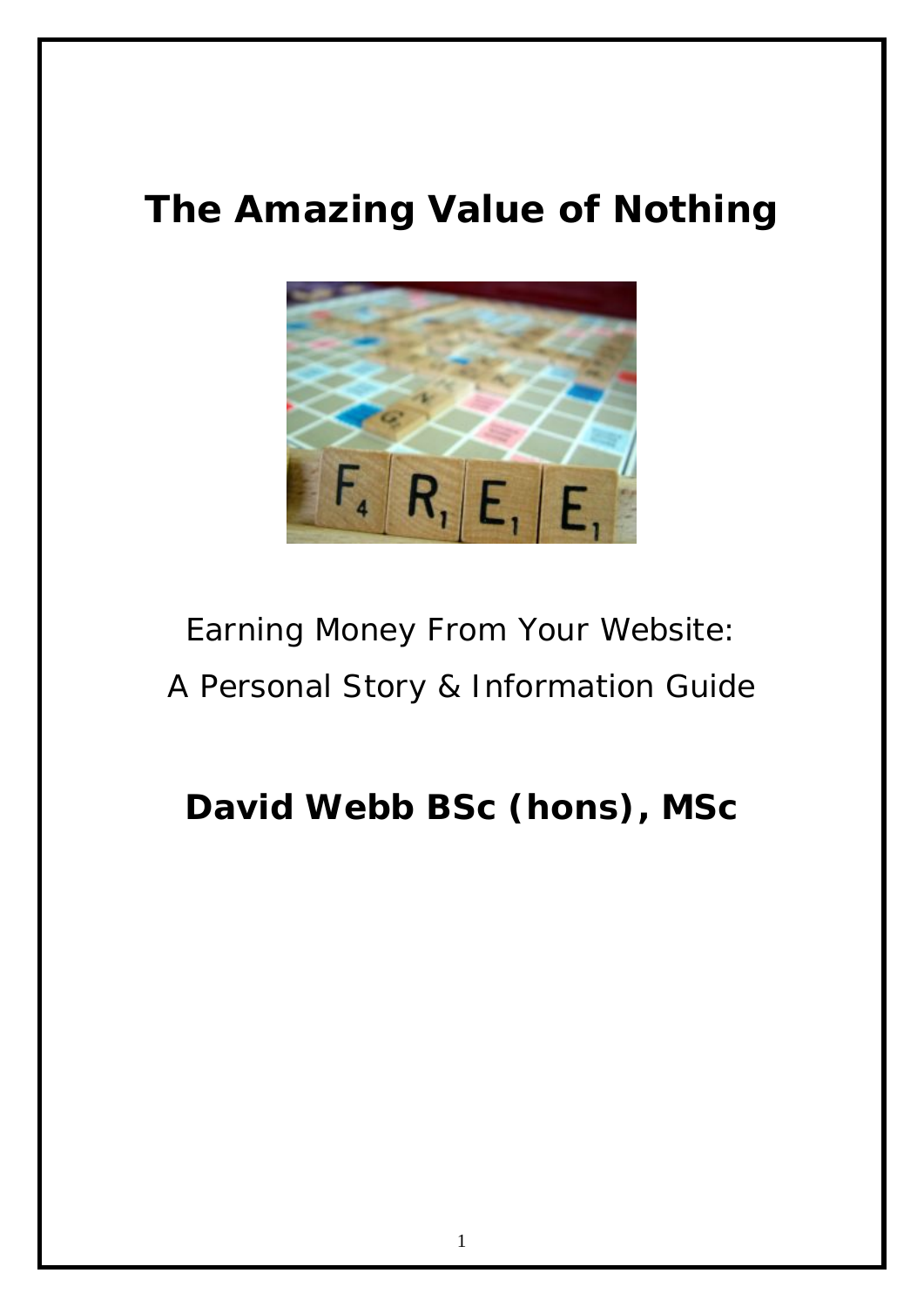## **The Amazing Value of Nothing**



# Earning Money From Your Website: A Personal Story & Information Guide

## **David Webb BSc (hons), MSc**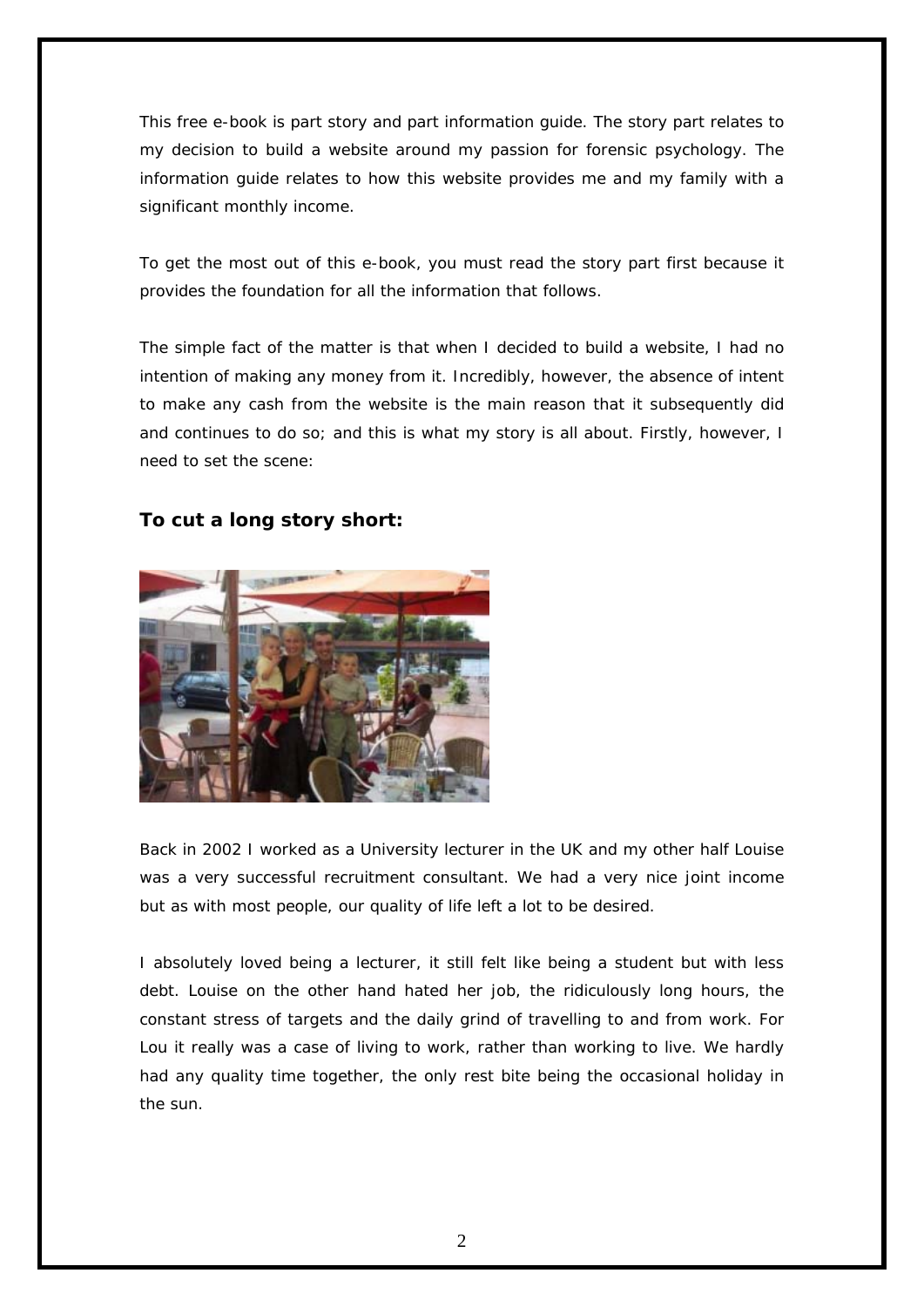This free e-book is part story and part information guide. The story part relates to my decision to build a website around my passion for forensic psychology. The information guide relates to how this website provides me and my family with a significant monthly income.

To get the most out of this e-book, you must read the story part first because it provides the foundation for all the information that follows.

The simple fact of the matter is that when I decided to build a website, I had no intention of making any money from it. Incredibly, however, the absence of intent to make any cash from the website is the main reason that it subsequently did and continues to do so; and this is what my story is all about. Firstly, however, I need to set the scene:

## **To cut a long story short:**



Back in 2002 I worked as a University lecturer in the UK and my other half Louise was a very successful recruitment consultant. We had a very nice joint income but as with most people, our quality of life left a lot to be desired.

I absolutely loved being a lecturer, it still felt like being a student but with less debt. Louise on the other hand hated her job, the ridiculously long hours, the constant stress of targets and the daily grind of travelling to and from work. For Lou it really was a case of living to work, rather than working to live. We hardly had any quality time together, the only rest bite being the occasional holiday in the sun.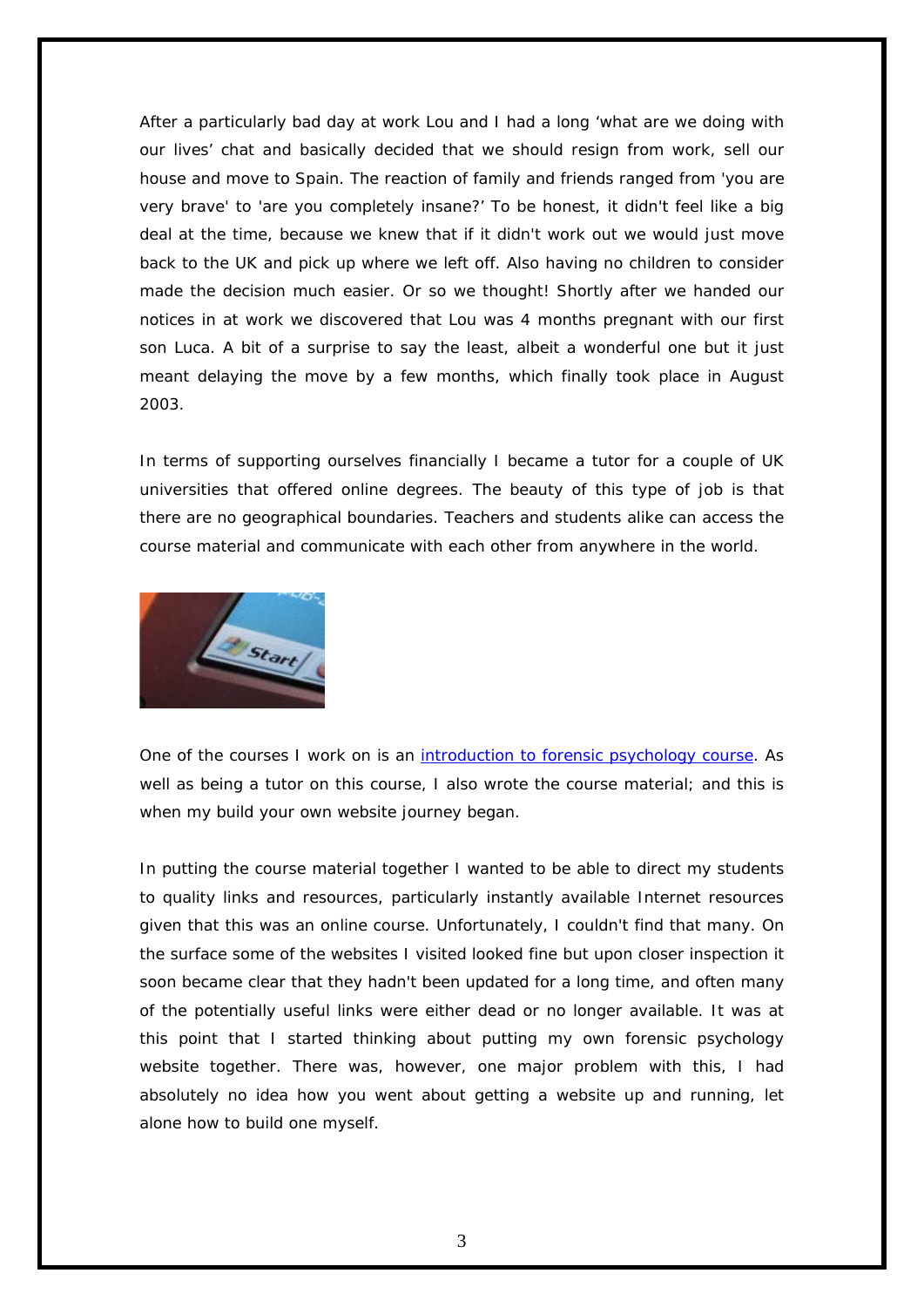After a particularly bad day at work Lou and I had a long 'what are we doing with our lives' chat and basically decided that we should resign from work, sell our house and move to Spain. The reaction of family and friends ranged from 'you are very brave' to 'are you completely insane?' To be honest, it didn't feel like a big deal at the time, because we knew that if it didn't work out we would just move back to the UK and pick up where we left off. Also having no children to consider made the decision much easier. Or so we thought! Shortly after we handed our notices in at work we discovered that Lou was 4 months pregnant with our first son Luca. A bit of a surprise to say the least, albeit a wonderful one but it just meant delaying the move by a few months, which finally took place in August 2003.

In terms of supporting ourselves financially I became a tutor for a couple of UK universities that offered online degrees. The beauty of this type of job is that there are no geographical boundaries. Teachers and students alike can access the course material and communicate with each other from anywhere in the world.



One of the courses I work on is an [introduction to forensic psychology course.](http://www.newcurioshop.com/proddetail.php?prod=NCS0059) As well as being a tutor on this course, I also wrote the course material; and this is when my build your own website journey began.

In putting the course material together I wanted to be able to direct my students to quality links and resources, particularly instantly available Internet resources given that this was an online course. Unfortunately, I couldn't find that many. On the surface some of the websites I visited looked fine but upon closer inspection it soon became clear that they hadn't been updated for a long time, and often many of the potentially useful links were either dead or no longer available. It was at this point that I started thinking about putting my own forensic psychology website together. There was, however, one major problem with this, I had absolutely no idea how you went about getting a website up and running, let alone how to build one myself.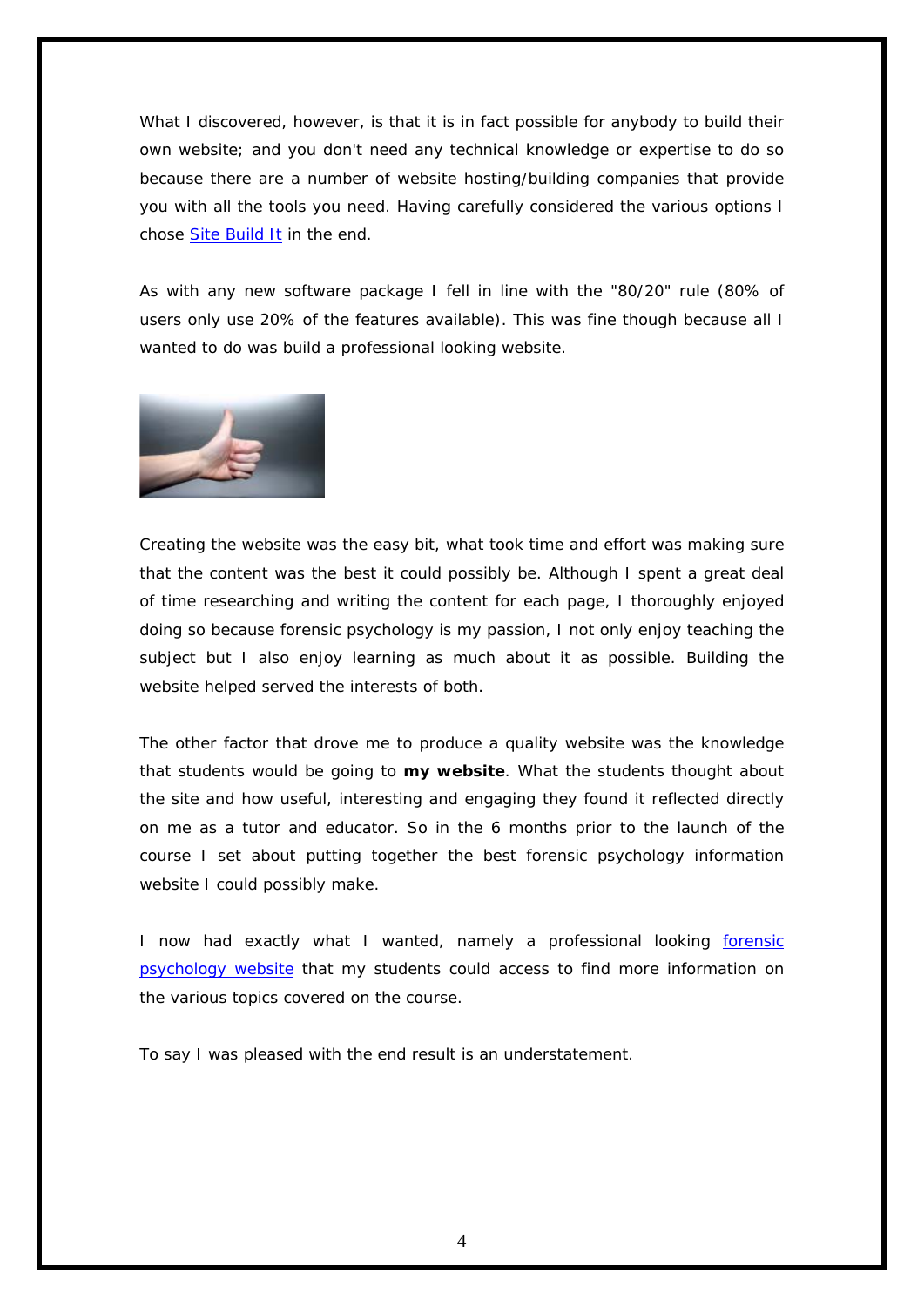What I discovered, however, is that it is in fact possible for anybody to build their own website; and you don't need any technical knowledge or expertise to do so because there are a number of website hosting/building companies that provide you with all the tools you need. Having carefully considered the various options I chose [Site Build It](http://buildit.sitesell.com/David7383.html) in the end.

As with any new software package I fell in line with the "80/20" rule (80% of users only use 20% of the features available). This was fine though because all I wanted to do was build a professional looking website.



Creating the website was the easy bit, what took time and effort was making sure that the content was the best it could possibly be. Although I spent a great deal of time researching and writing the content for each page, I thoroughly enjoyed doing so because forensic psychology is my passion, I not only enjoy teaching the subject but I also enjoy learning as much about it as possible. Building the website helped served the interests of both.

The other factor that drove me to produce a quality website was the knowledge that students would be going to **my website**. What the students thought about the site and how useful, interesting and engaging they found it reflected directly on me as a tutor and educator. So in the 6 months prior to the launch of the course I set about putting together the best forensic psychology information website I could possibly make.

I now had exactly what I wanted, namely a professional looking forensic [psychology website](http://www.all-about-forensic-psychology.com/) that my students could access to find more information on the various topics covered on the course.

To say I was pleased with the end result is an understatement.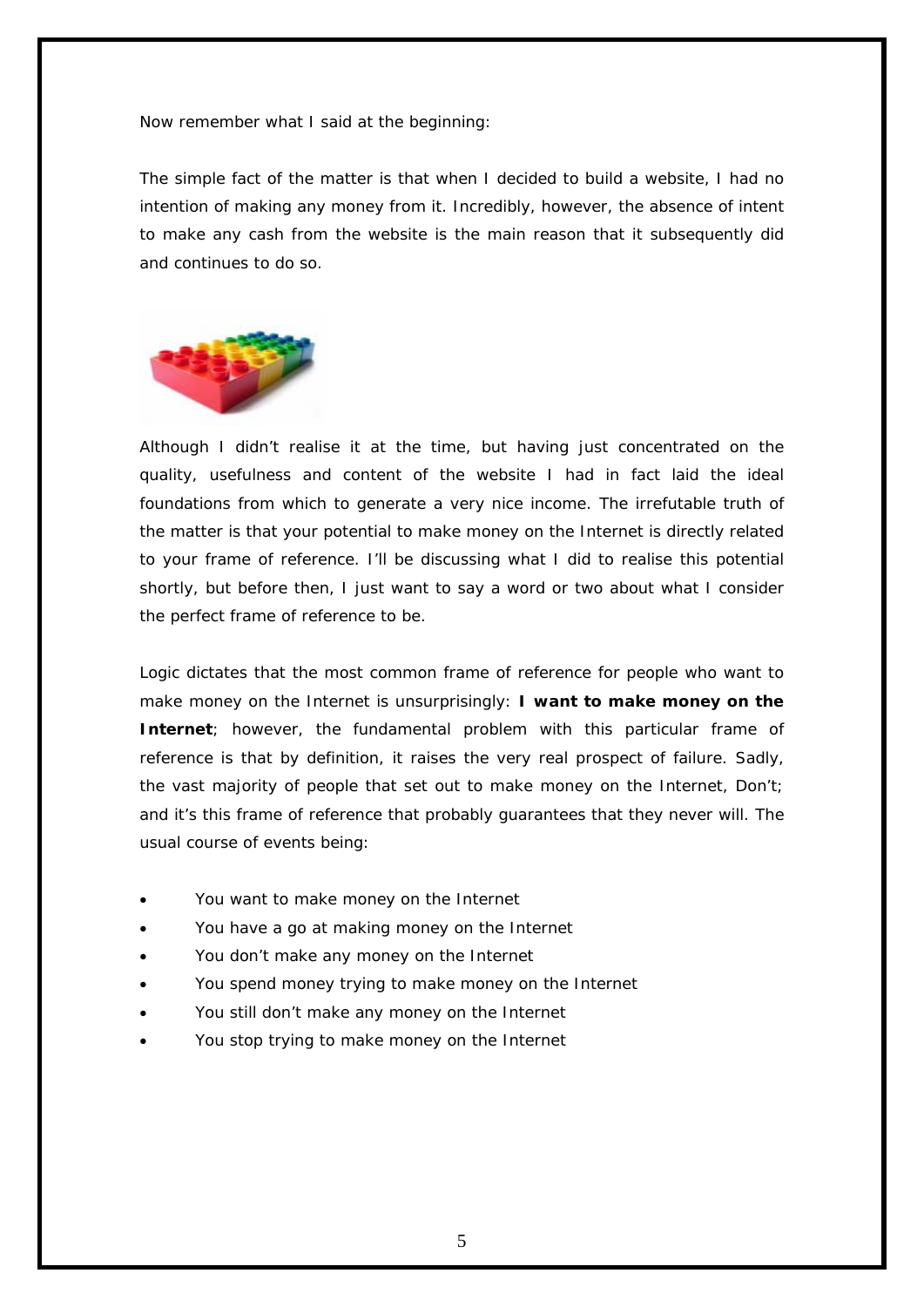Now remember what I said at the beginning:

*The simple fact of the matter is that when I decided to build a website, I had no intention of making any money from it. Incredibly, however, the absence of intent to make any cash from the website is the main reason that it subsequently did and continues to do so.* 



Although I didn't realise it at the time, but having just concentrated on the quality, usefulness and content of the website I had in fact laid the ideal foundations from which to generate a very nice income. The irrefutable truth of the matter is that your potential to make money on the Internet is directly related to your frame of reference. I'll be discussing what I did to realise this potential shortly, but before then, I just want to say a word or two about what I consider the perfect frame of reference to be.

Logic dictates that the most common frame of reference for people who want to make money on the Internet is unsurprisingly: **I want to make money on the Internet**; however, the fundamental problem with this particular frame of reference is that by definition, it raises the very real prospect of failure. Sadly, the vast majority of people that set out to make money on the Internet, Don't; and it's this frame of reference that probably guarantees that they never will. The usual course of events being:

- You want to make money on the Internet
- You have a go at making money on the Internet
- You don't make any money on the Internet
- You spend money trying to make money on the Internet
- You still don't make any money on the Internet
- You stop trying to make money on the Internet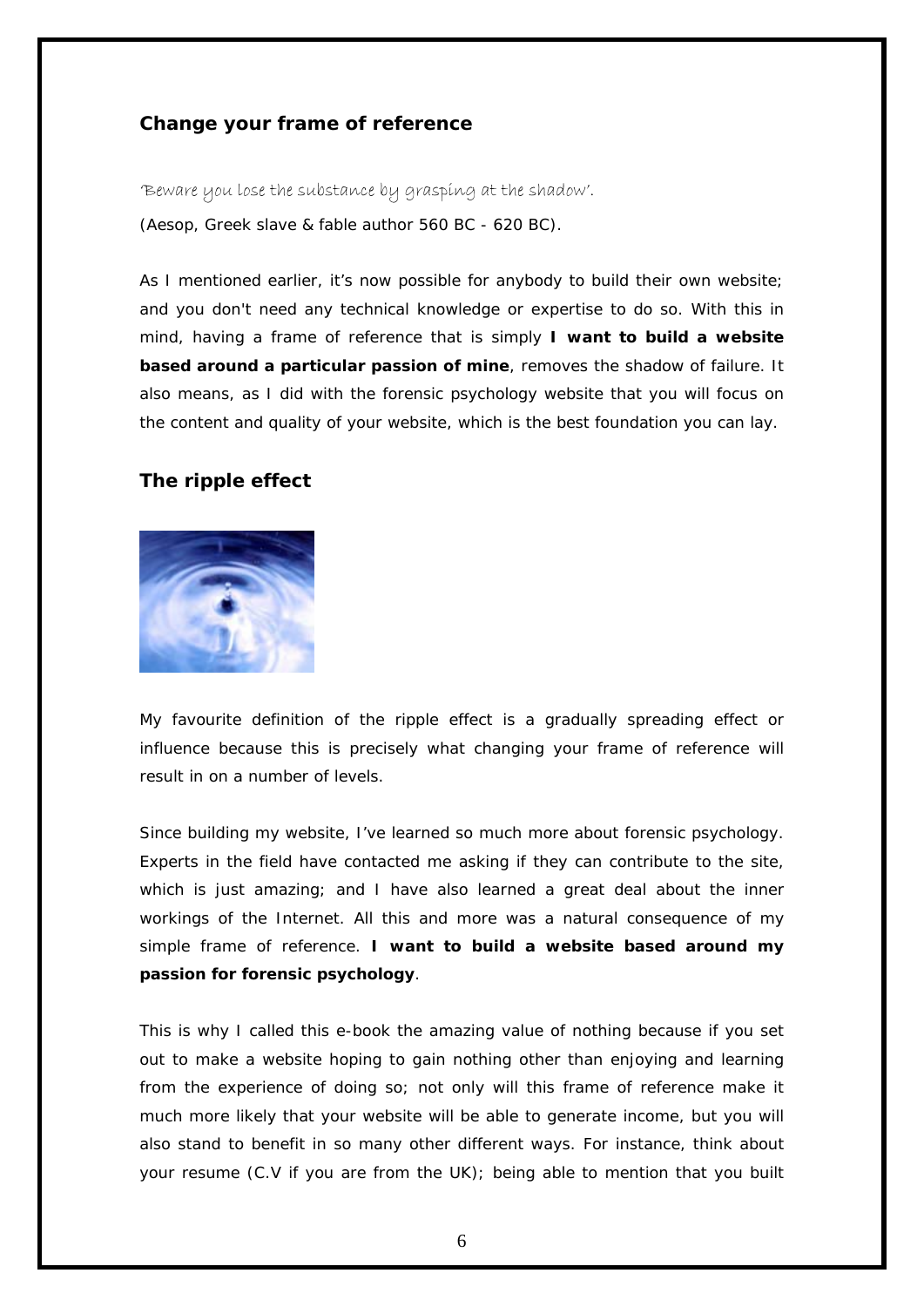## **Change your frame of reference**

'Beware you lose the substance by grasping at the shadow'. (Aesop, Greek slave & fable author 560 BC - 620 BC).

As I mentioned earlier, it's now possible for anybody to build their own website; and you don't need any technical knowledge or expertise to do so. With this in mind, having a frame of reference that is simply **I want to build a website based around a particular passion of mine**, removes the shadow of failure. It also means, as I did with the forensic psychology website that you will focus on the content and quality of your website, which is the best foundation you can lay.

## **The ripple effect**



My favourite definition of the ripple effect is *a gradually spreading effect or influence* because this is precisely what changing your frame of reference will result in on a number of levels.

Since building my website, I've learned so much more about forensic psychology. Experts in the field have contacted me asking if they can contribute to the site, which is just amazing; and I have also learned a great deal about the inner workings of the Internet. All this and more was a natural consequence of my simple frame of reference. **I want to build a website based around my passion for forensic psychology**.

This is why I called this e-book the amazing value of nothing because if you set out to make a website hoping to gain nothing other than enjoying and learning from the experience of doing so; not only will this frame of reference make it much more likely that your website will be able to generate income, but you will also stand to benefit in so many other different ways. For instance, think about your resume (C.V if you are from the UK); being able to mention that you built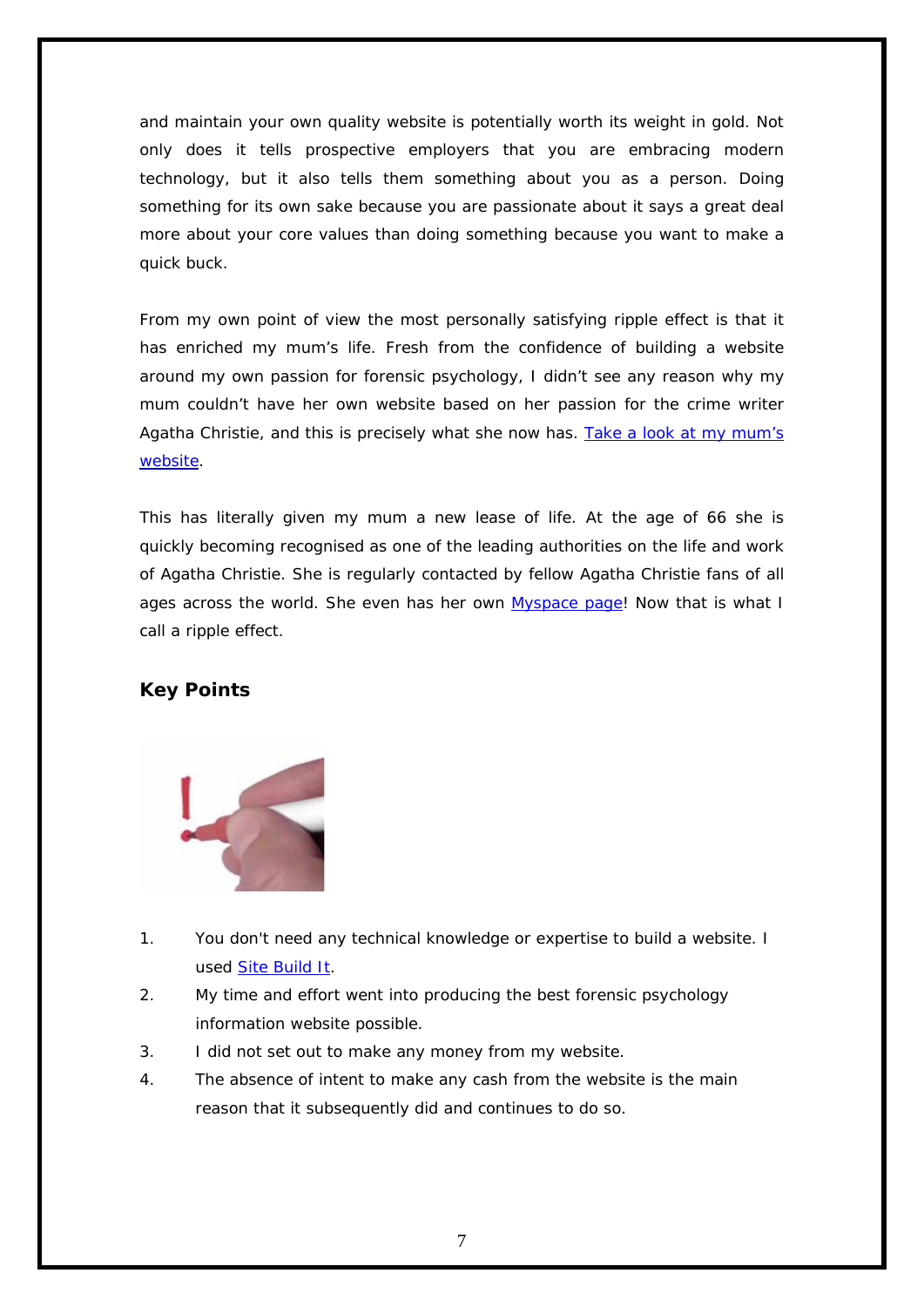and maintain your own quality website is potentially worth its weight in gold. Not only does it tells prospective employers that you are embracing modern technology, but it also tells them something about you as a person. Doing something for its own sake because you are passionate about it says a great deal more about your core values than doing something because you want to make a quick buck.

From my own point of view the most personally satisfying ripple effect is that it has enriched my mum's life. Fresh from the confidence of building a website around my own passion for forensic psychology, I didn't see any reason why my mum couldn't have her own website based on her passion for the crime writer Agatha Christie, and this is precisely what she now has. Take a look at my mum's [website](http://www.all-about-agatha-christie.com/).

This has literally given my mum a new lease of life. At the age of 66 she is quickly becoming recognised as one of the leading authorities on the life and work of Agatha Christie. She is regularly contacted by fellow Agatha Christie fans of all ages across the world. She even has her own [Myspace page](http://www.myspace.com/agatha_christie)! Now that is what I call a ripple effect.

## **Key Points**



- 1. You don't need any technical knowledge or expertise to build a website. I used [Site Build It.](http://buildit.sitesell.com/David7383.html)
- 2. My time and effort went into producing the best forensic psychology information website possible.
- 3. I did not set out to make any money from my website.
- 4. The absence of intent to make any cash from the website is the main reason that it subsequently did and continues to do so.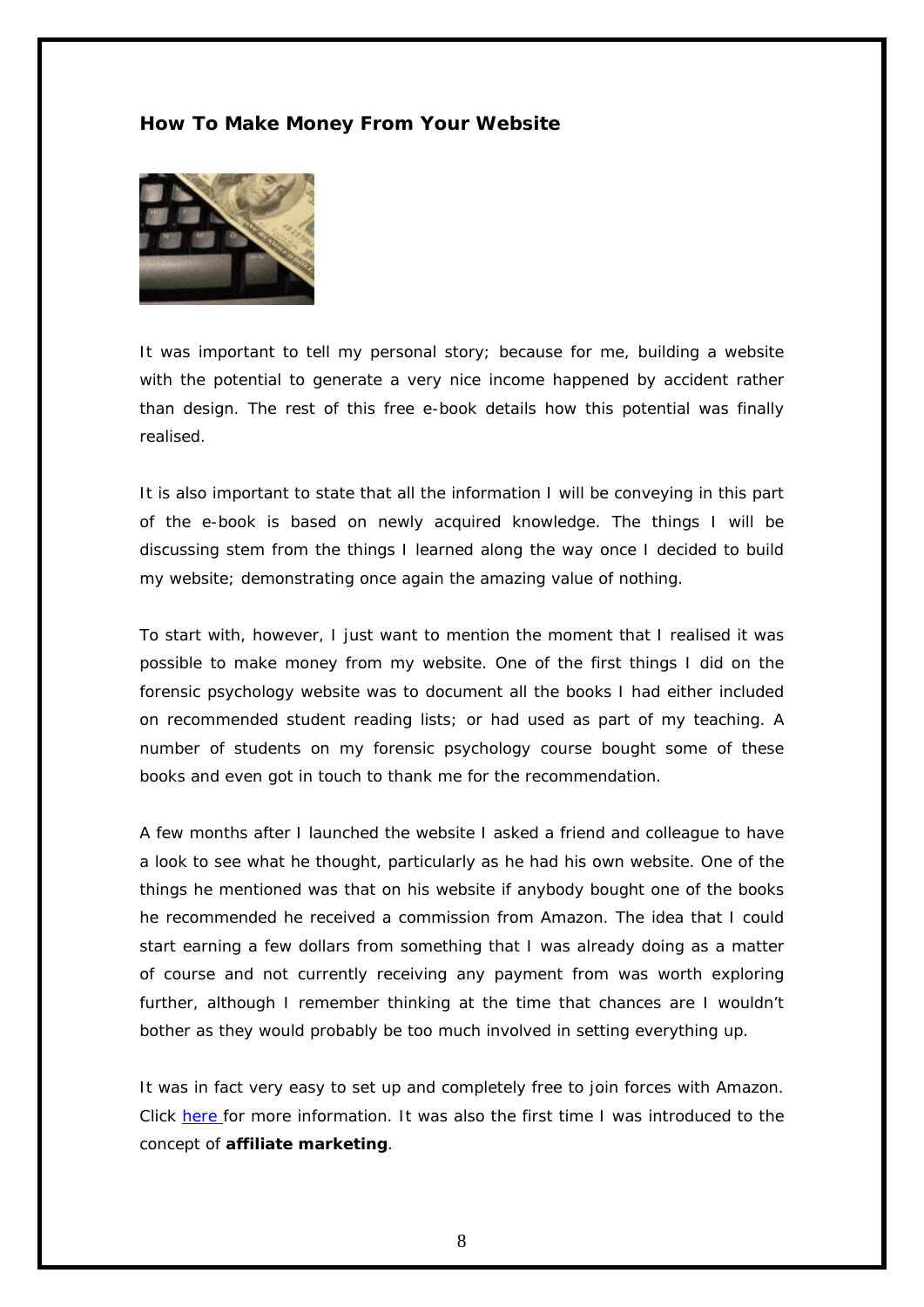#### **How To Make Money From Your Website**



It was important to tell my personal story; because for me, building a website with the potential to generate a very nice income happened by accident rather than design. The rest of this free e-book details how this potential was finally realised.

It is also important to state that all the information I will be conveying in this part of the e-book is based on newly acquired knowledge. The things I will be discussing stem from the things I learned along the way once I decided to build my website; demonstrating once again the amazing value of nothing.

To start with, however, I just want to mention the moment that I realised it was possible to make money from my website. One of the first things I did on the forensic psychology website was to document all the books I had either included on recommended student reading lists; or had used as part of my teaching. A number of students on my forensic psychology course bought some of these books and even got in touch to thank me for the recommendation.

A few months after I launched the website I asked a friend and colleague to have a look to see what he thought, particularly as he had his own website. One of the things he mentioned was that on his website if anybody bought one of the books he recommended he received a commission from Amazon. The idea that I could start earning a few dollars from something that I was already doing as a matter of course and not currently receiving any payment from was worth exploring further, although I remember thinking at the time that chances are I wouldn't bother as they would probably be too much involved in setting everything up.

It was in fact very easy to set up and completely free to join forces with Amazon. Click [here f](http://affiliate-program.amazon.com/gp/associates/join/faq.html/ref=amb_link_517882_5/103-4876774-4794210)or more information. It was also the first time I was introduced to the concept of **affiliate marketing**.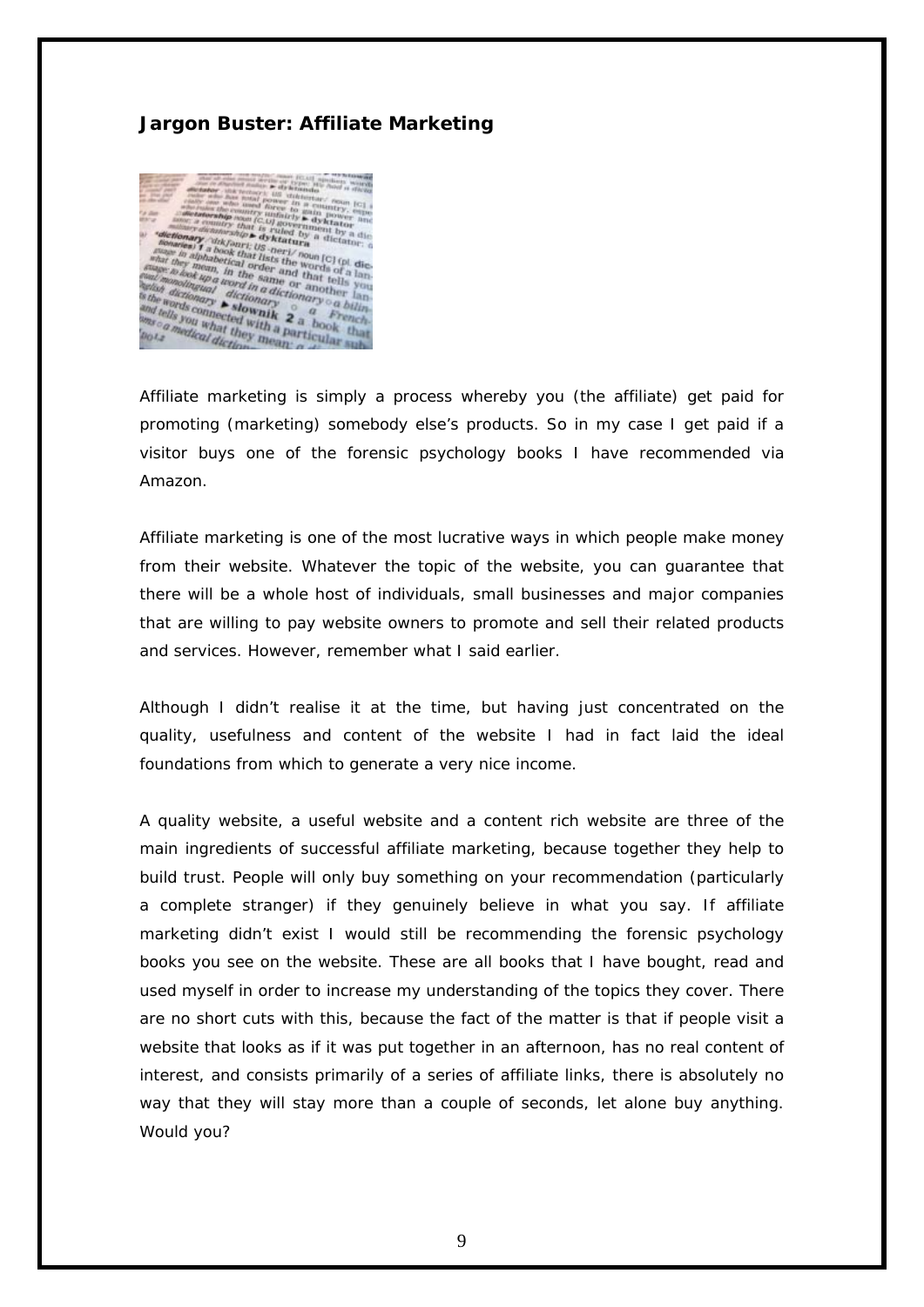## **Jargon Buster: Affiliate Marketing**



Affiliate marketing is simply a process whereby you (the affiliate) get paid for promoting (marketing) somebody else's products. So in my case I get paid if a visitor buys one of the forensic psychology books I have recommended via Amazon.

Affiliate marketing is one of the most lucrative ways in which people make money from their website. Whatever the topic of the website, you can guarantee that there will be a whole host of individuals, small businesses and major companies that are willing to pay website owners to promote and sell their related products and services. However, remember what I said earlier.

*Although I didn't realise it at the time, but having just concentrated on the quality, usefulness and content of the website I had in fact laid the ideal foundations from which to generate a very nice income.* 

A quality website, a useful website and a content rich website are three of the main ingredients of successful affiliate marketing, because together they help to build trust. People will only buy something on your recommendation (particularly a complete stranger) if they genuinely believe in what you say. If affiliate marketing didn't exist I would still be recommending the forensic psychology books you see on the website. These are all books that I have bought, read and used myself in order to increase my understanding of the topics they cover. There are no short cuts with this, because the fact of the matter is that if people visit a website that looks as if it was put together in an afternoon, has no real content of interest, and consists primarily of a series of affiliate links, there is absolutely no way that they will stay more than a couple of seconds, let alone buy anything. Would you?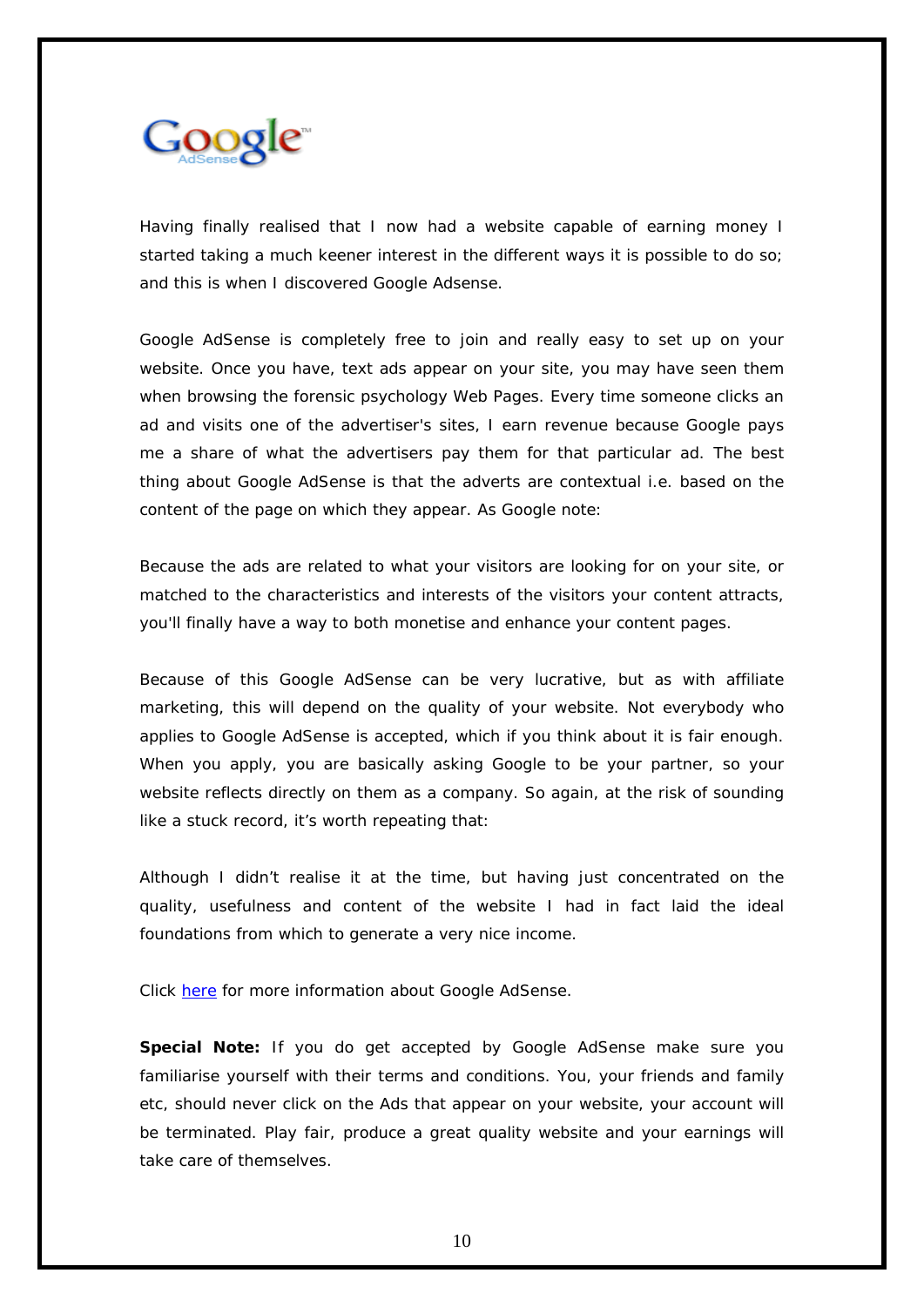

Having finally realised that I now had a website capable of earning money I started taking a much keener interest in the different ways it is possible to do so; and this is when I discovered Google Adsense.

Google AdSense is completely free to join and really easy to set up on your website. Once you have, text ads appear on your site, you may have seen them when browsing the forensic psychology Web Pages. Every time someone clicks an ad and visits one of the advertiser's sites, I earn revenue because Google pays me a share of what the advertisers pay them for that particular ad. The best thing about Google AdSense is that the adverts are contextual i.e. based on the content of the page on which they appear. As Google note:

*Because the ads are related to what your visitors are looking for on your site, or matched to the characteristics and interests of the visitors your content attracts, you'll finally have a way to both monetise and enhance your content pages.* 

Because of this Google AdSense can be very lucrative, but as with affiliate marketing, this will depend on the quality of your website. Not everybody who applies to Google AdSense is accepted, which if you think about it is fair enough. When you apply, you are basically asking Google to be your partner, so your website reflects directly on them as a company. So again, at the risk of sounding like a stuck record, it's worth repeating that:

*Although I didn't realise it at the time, but having just concentrated on the quality, usefulness and content of the website I had in fact laid the ideal foundations from which to generate a very nice income.* 

Click [here](https://www.google.com/adsense/) for more information about Google AdSense.

**Special Note:** If you do get accepted by Google AdSense make sure you familiarise yourself with their terms and conditions. You, your friends and family etc, should never click on the Ads that appear on your website, your account will be terminated. Play fair, produce a great quality website and your earnings will take care of themselves.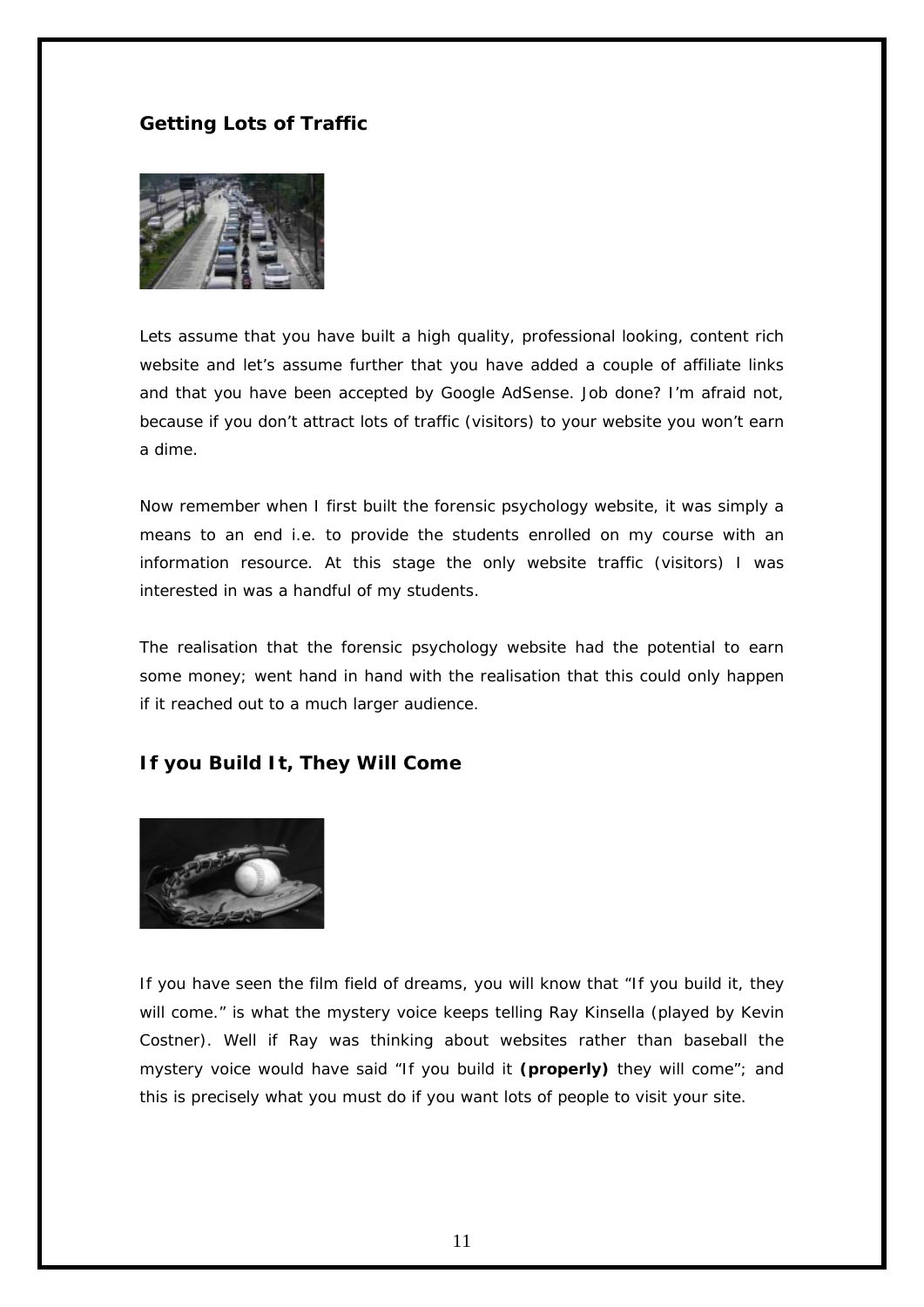## **Getting Lots of Traffic**



Lets assume that you have built a high quality, professional looking, content rich website and let's assume further that you have added a couple of affiliate links and that you have been accepted by Google AdSense. Job done? I'm afraid not, because if you don't attract lots of traffic (visitors) to your website you won't earn a dime.

Now remember when I first built the forensic psychology website, it was simply a means to an end i.e. to provide the students enrolled on my course with an information resource. At this stage the only website traffic (visitors) I was interested in was a handful of my students.

The realisation that the forensic psychology website had the potential to earn some money; went hand in hand with the realisation that this could only happen if it reached out to a much larger audience.

## **If you Build It, They Will Come**



If you have seen the film field of dreams, you will know that "If you build it, they will come." is what the mystery voice keeps telling Ray Kinsella (played by Kevin Costner). Well if Ray was thinking about websites rather than baseball the mystery voice would have said "If you build it **(properly)** they will come"; and this is precisely what you must do if you want lots of people to visit your site.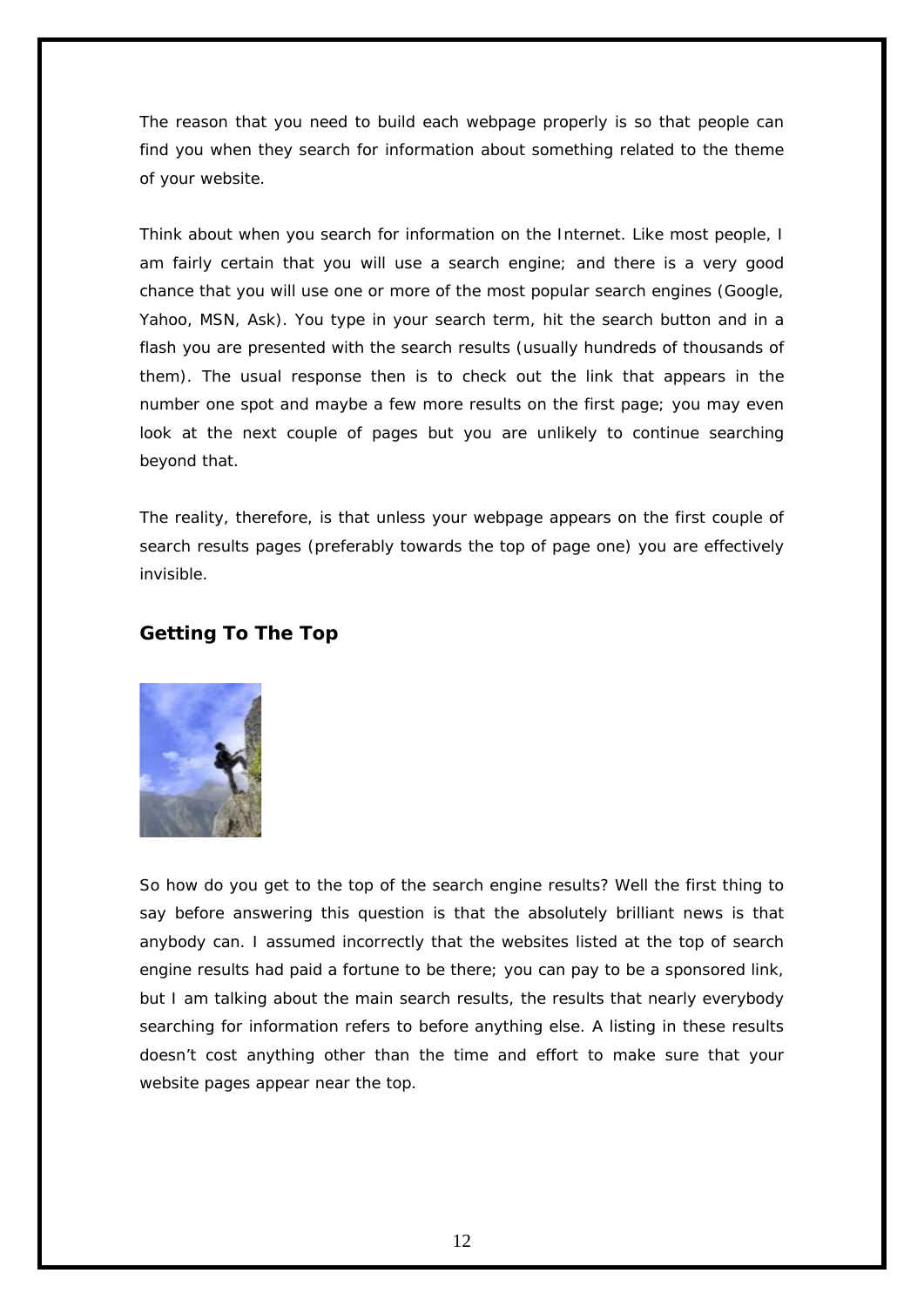The reason that you need to build each webpage properly is so that people can find you when they search for information about something related to the theme of your website.

Think about when you search for information on the Internet. Like most people, I am fairly certain that you will use a search engine; and there is a very good chance that you will use one or more of the most popular search engines (Google, Yahoo, MSN, Ask). You type in your search term, hit the search button and in a flash you are presented with the search results (usually hundreds of thousands of them). The usual response then is to check out the link that appears in the number one spot and maybe a few more results on the first page; you may even look at the next couple of pages but you are unlikely to continue searching beyond that.

The reality, therefore, is that unless your webpage appears on the first couple of search results pages (preferably towards the top of page one) you are effectively invisible.

## **Getting To The Top**



So how do you get to the top of the search engine results? Well the first thing to say before answering this question is that the absolutely brilliant news is that anybody can. I assumed incorrectly that the websites listed at the top of search engine results had paid a fortune to be there; you can pay to be a sponsored link, but I am talking about the main search results, the results that nearly everybody searching for information refers to before anything else. A listing in these results doesn't cost anything other than the time and effort to make sure that your website pages appear near the top.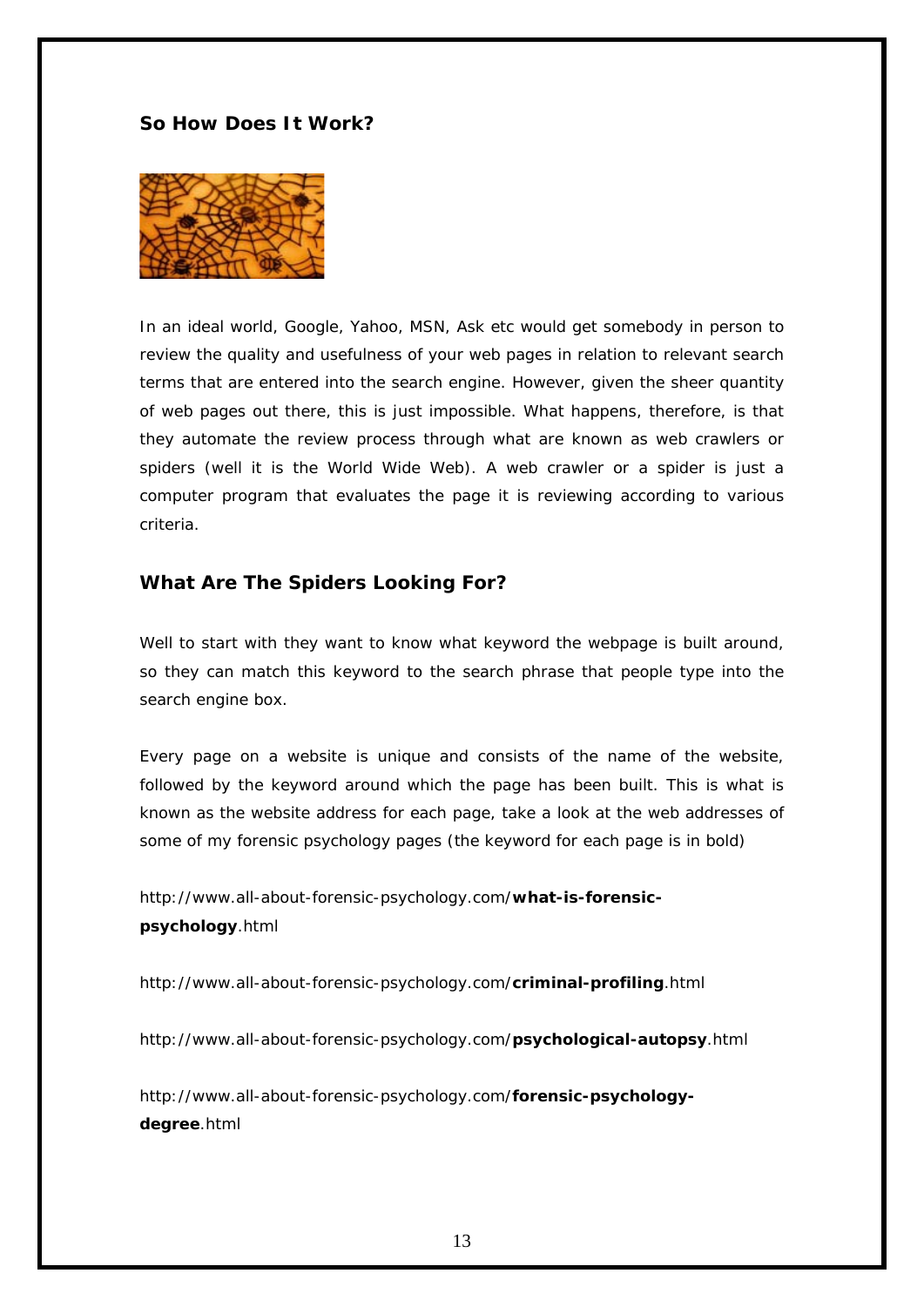## **So How Does It Work?**



In an ideal world, Google, Yahoo, MSN, Ask etc would get somebody in person to review the quality and usefulness of your web pages in relation to relevant search terms that are entered into the search engine. However, given the sheer quantity of web pages out there, this is just impossible. What happens, therefore, is that they automate the review process through what are known as web crawlers or spiders (well it is the World Wide Web). A web crawler or a spider is just a computer program that evaluates the page it is reviewing according to various criteria.

### **What Are The Spiders Looking For?**

Well to start with they want to know what keyword the webpage is built around, so they can match this keyword to the search phrase that people type into the search engine box.

Every page on a website is unique and consists of the name of the website, followed by the keyword around which the page has been built. This is what is known as the website address for each page, take a look at the web addresses of some of my forensic psychology pages (the keyword for each page is in bold)

http://www.all-about-forensic-psychology.com/**what-is-forensicpsychology**.html

http://www.all-about-forensic-psychology.com/**criminal-profiling**.html

http://www.all-about-forensic-psychology.com/**psychological-autopsy**.html

http://www.all-about-forensic-psychology.com/**forensic-psychologydegree**.html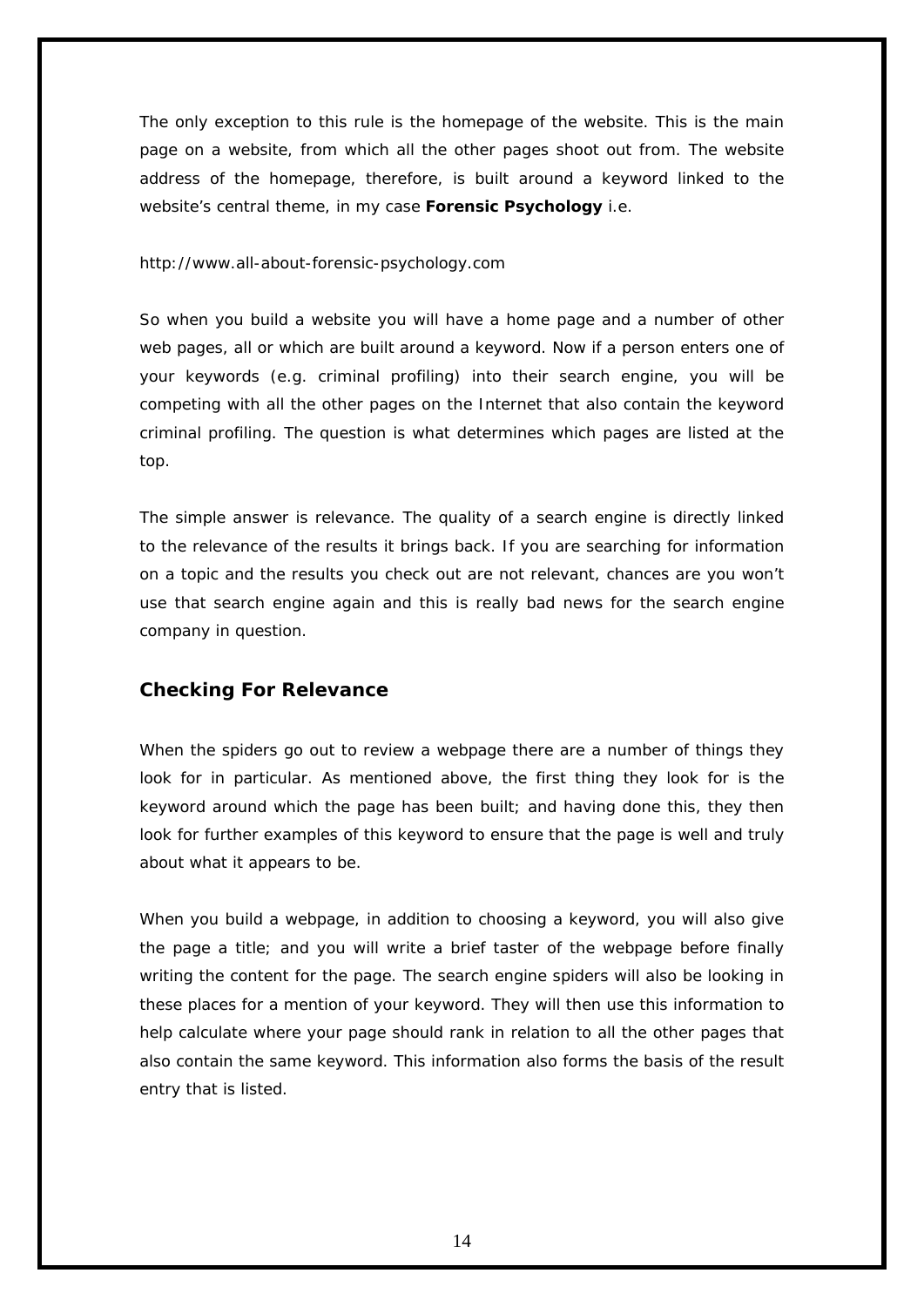The only exception to this rule is the homepage of the website. This is the main page on a website, from which all the other pages shoot out from. The website address of the homepage, therefore, is built around a keyword linked to the website's central theme, in my case **Forensic Psychology** i.e.

#### http://www.all-about-forensic-psychology.com

So when you build a website you will have a home page and a number of other web pages, all or which are built around a keyword. Now if a person enters one of your keywords (e.g. criminal profiling) into their search engine, you will be competing with all the other pages on the Internet that also contain the keyword criminal profiling. The question is what determines which pages are listed at the top.

The simple answer is relevance. The quality of a search engine is directly linked to the relevance of the results it brings back. If you are searching for information on a topic and the results you check out are not relevant, chances are you won't use that search engine again and this is really bad news for the search engine company in question.

#### **Checking For Relevance**

When the spiders go out to review a webpage there are a number of things they look for in particular. As mentioned above, the first thing they look for is the keyword around which the page has been built; and having done this, they then look for further examples of this keyword to ensure that the page is well and truly about what it appears to be.

When you build a webpage, in addition to choosing a keyword, you will also give the page a title; and you will write a brief taster of the webpage before finally writing the content for the page. The search engine spiders will also be looking in these places for a mention of your keyword. They will then use this information to help calculate where your page should rank in relation to all the other pages that also contain the same keyword. This information also forms the basis of the result entry that is listed.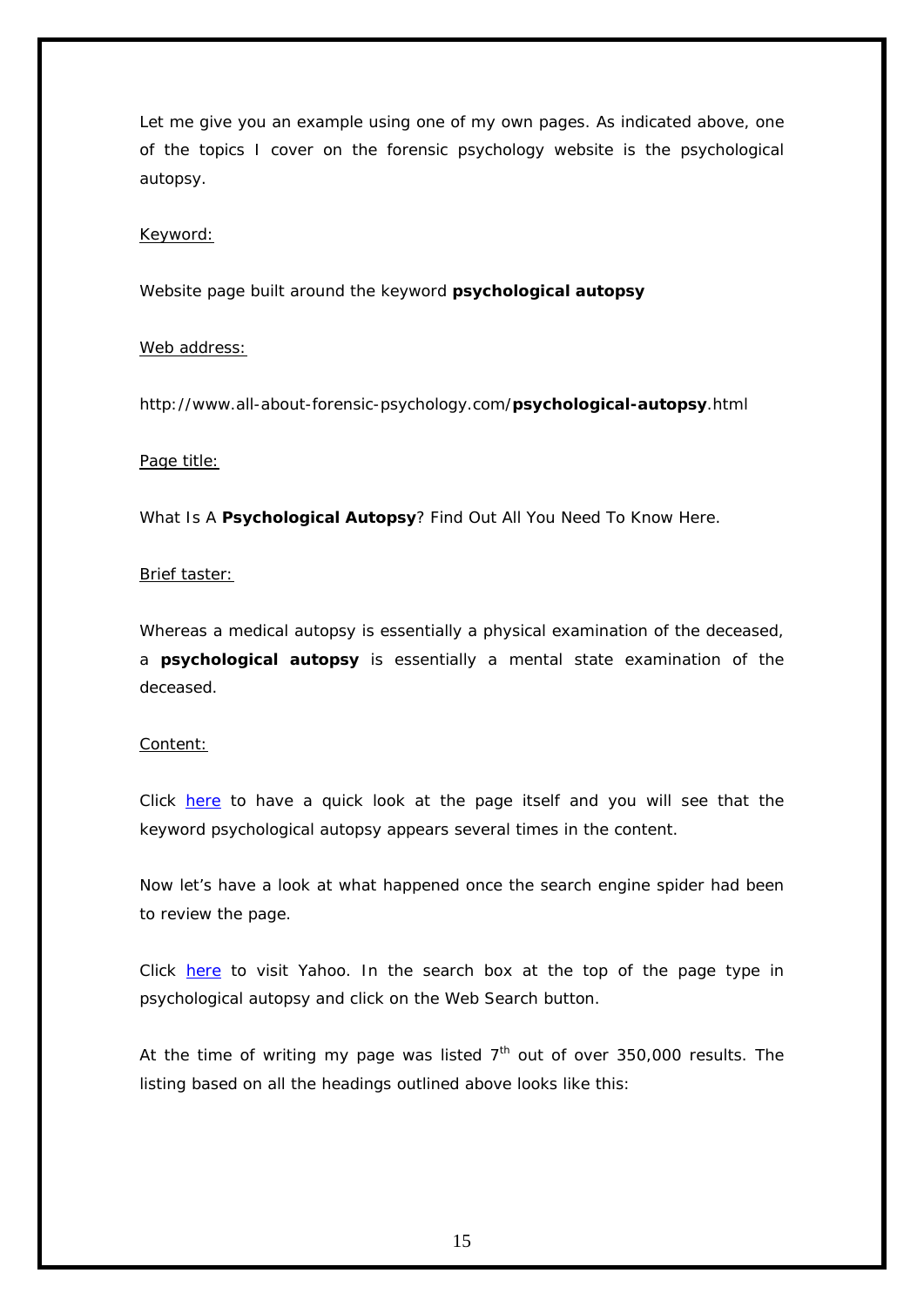Let me give you an example using one of my own pages. As indicated above, one of the topics I cover on the forensic psychology website is the psychological autopsy.

#### Keyword:

Website page built around the keyword **psychological autopsy** 

#### Web address:

http://www.all-about-forensic-psychology.com/**psychological-autopsy**.html

#### Page title:

What Is A **Psychological Autopsy**? Find Out All You Need To Know Here.

#### Brief taster:

Whereas a medical autopsy is essentially a physical examination of the deceased, a **psychological autopsy** is essentially a mental state examination of the deceased.

#### Content:

Click [here](http://www.all-about-forensic-psychology.com/psychological-autopsy.html) to have a quick look at the page itself and you will see that the keyword psychological autopsy appears several times in the content.

Now let's have a look at what happened once the search engine spider had been to review the page.

Click [here](http://www.yahoo.com/) to visit Yahoo. In the search box at the top of the page type in psychological autopsy and click on the Web Search button.

At the time of writing my page was listed  $7<sup>th</sup>$  out of over 350,000 results. The listing based on all the headings outlined above looks like this: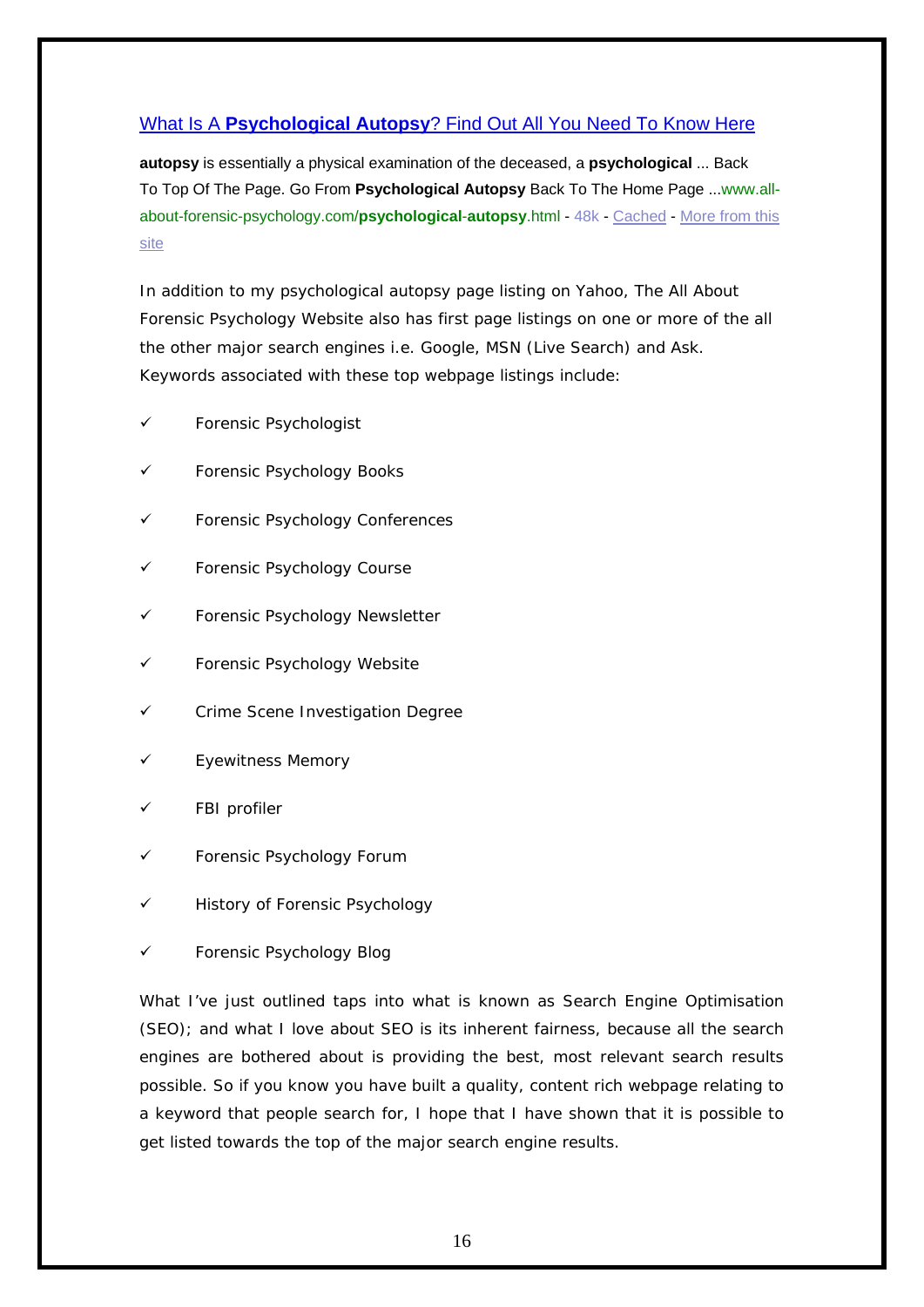## What Is A **Psychological Autopsy**? Find Out All You Need To Know Here

**autopsy** is essentially a physical examination of the deceased, a **psychological** ... Back To Top Of The Page. Go From **Psychological Autopsy** Back To The Home Page ...www.allabout-forensic-psychology.com/**psychological**-**autopsy**.html - 48k - [Cached](http://rds.yahoo.com/_ylt=A0geuusBYnlF440AvH1XNyoA;_ylu=X3oDMTEwYzJrNjc4BGNvbG8DZQRwb3MDNwRzZWMDc3IEdnRpZANGNjY2Xzc4/SIG=17t2t8rts/EXP=1165669249/**http%3a/216.109.125.130/search/cache%3fp=psychological%2bautopsy%26fr=yfp-t-501%26toggle=1%26ei=UTF-8%26u=www.all-about-forensic-psychology.com/psychological-autopsy.html%26w=psychological%2bautopsy%26d=NQZLN5IFN5v6%26icp=1%26.intl=us) - [More from this](http://rds.yahoo.com/_ylt=A0geuusBYnlF440AvX1XNyoA/SIG=15661fd2p/EXP=1165669249/**http%3a/search.yahoo.com/search%3fp=psychological%2bautopsy%26toggle=1%26ei=UTF-8%26fr=yfp-t-501%26vst=0%26vs=www.all-about-forensic-psychology.com)  [site](http://rds.yahoo.com/_ylt=A0geuusBYnlF440AvX1XNyoA/SIG=15661fd2p/EXP=1165669249/**http%3a/search.yahoo.com/search%3fp=psychological%2bautopsy%26toggle=1%26ei=UTF-8%26fr=yfp-t-501%26vst=0%26vs=www.all-about-forensic-psychology.com) 

In addition to my psychological autopsy page listing on Yahoo, The All About Forensic Psychology Website also has first page listings on one or more of the all the other major search engines i.e. Google, MSN (Live Search) and Ask. Keywords associated with these top webpage listings include:

- Forensic Psychologist
- 9 Forensic Psychology Books
- 9 Forensic Psychology Conferences
- 9 Forensic Psychology Course
- Forensic Psychology Newsletter
- Forensic Psychology Website
- $\checkmark$  Crime Scene Investigation Degree
- $\checkmark$  Eyewitness Memory
- FBI profiler
- $\checkmark$  Forensic Psychology Forum
- $\checkmark$  History of Forensic Psychology
- $\checkmark$  Forensic Psychology Blog

What I've just outlined taps into what is known as Search Engine Optimisation (SEO); and what I love about SEO is its inherent fairness, because all the search engines are bothered about is providing the best, most relevant search results possible. So if you know you have built a quality, content rich webpage relating to a keyword that people search for, I hope that I have shown that it is possible to get listed towards the top of the major search engine results.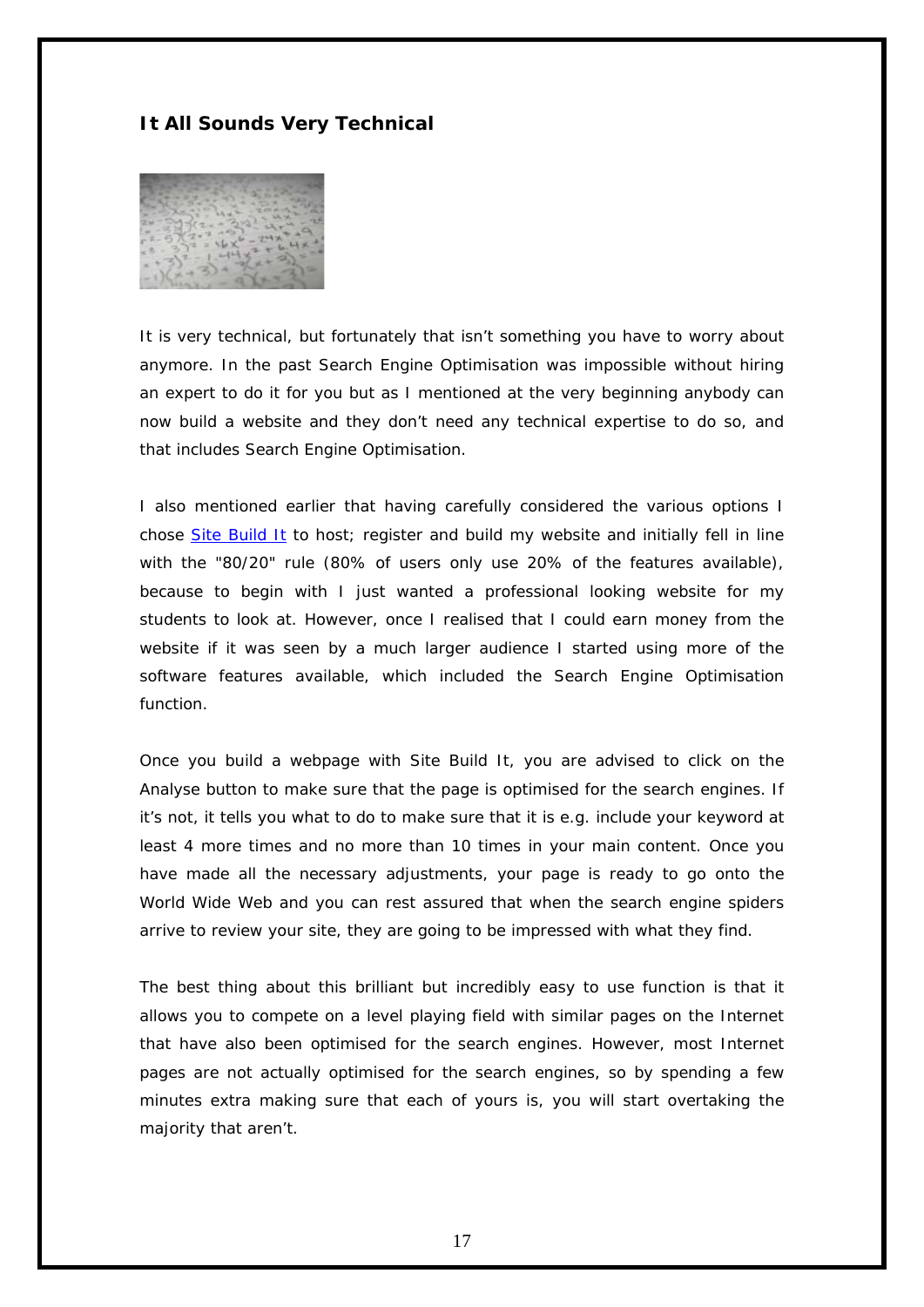## **It All Sounds Very Technical**



It is very technical, but fortunately that isn't something you have to worry about anymore. In the past Search Engine Optimisation was impossible without hiring an expert to do it for you but as I mentioned at the very beginning anybody can now build a website and they don't need any technical expertise to do so, and that includes Search Engine Optimisation.

I also mentioned earlier that having carefully considered the various options I chose [Site Build It](http://buildit.sitesell.com/David7383.html) to host; register and build my website and initially fell in line with the "80/20" rule (80% of users only use 20% of the features available), because to begin with I just wanted a professional looking website for my students to look at. However, once I realised that I could earn money from the website if it was seen by a much larger audience I started using more of the software features available, which included the Search Engine Optimisation function.

Once you build a webpage with Site Build It, you are advised to click on the Analyse button to make sure that the page is optimised for the search engines. If it's not, it tells you what to do to make sure that it is e.g. include your keyword at least 4 more times and no more than 10 times in your main content. Once you have made all the necessary adjustments, your page is ready to go onto the World Wide Web and you can rest assured that when the search engine spiders arrive to review your site, they are going to be impressed with what they find.

The best thing about this brilliant but incredibly easy to use function is that it allows you to compete on a level playing field with similar pages on the Internet that have also been optimised for the search engines. However, most Internet pages are not actually optimised for the search engines, so by spending a few minutes extra making sure that each of yours is, you will start overtaking the majority that aren't.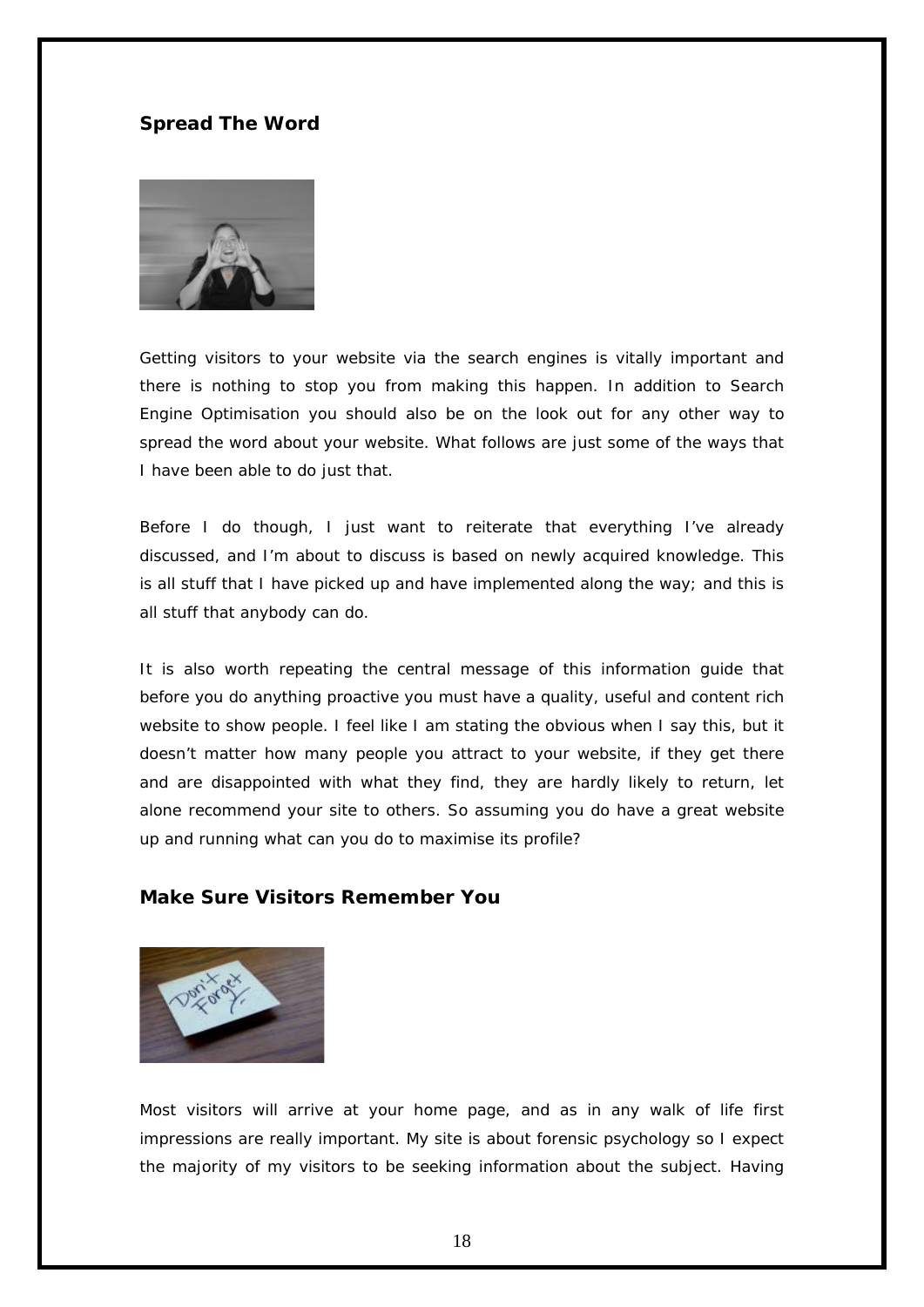## **Spread The Word**



Getting visitors to your website via the search engines is vitally important and there is nothing to stop you from making this happen. In addition to Search Engine Optimisation you should also be on the look out for any other way to spread the word about your website. What follows are just some of the ways that I have been able to do just that.

Before I do though, I just want to reiterate that everything I've already discussed, and I'm about to discuss is based on newly acquired knowledge. This is all stuff that I have picked up and have implemented along the way; and this is all stuff that anybody can do.

It is also worth repeating the central message of this information guide that before you do anything proactive you must have a quality, useful and content rich website to show people. I feel like I am stating the obvious when I say this, but it doesn't matter how many people you attract to your website, if they get there and are disappointed with what they find, they are hardly likely to return, let alone recommend your site to others. So assuming you do have a great website up and running what can you do to maximise its profile?

#### **Make Sure Visitors Remember You**



Most visitors will arrive at your home page, and as in any walk of life first impressions are really important. My site is about forensic psychology so I expect the majority of my visitors to be seeking information about the subject. Having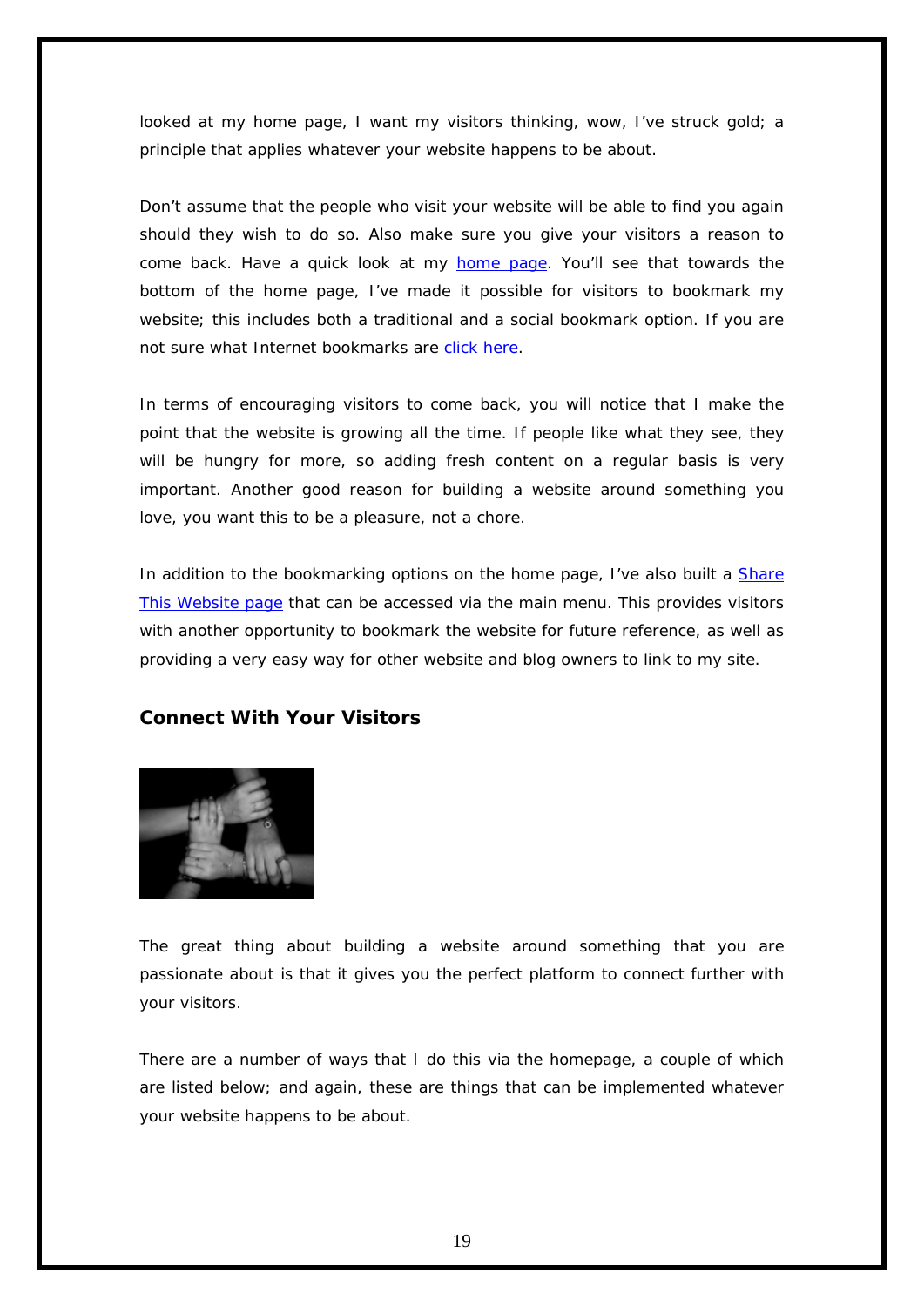looked at my home page, I want my visitors thinking, wow, I've struck gold; a principle that applies whatever your website happens to be about.

Don't assume that the people who visit your website will be able to find you again should they wish to do so. Also make sure you give your visitors a reason to come back. Have a quick look at my [home page.](http://www.all-about-forensic-psychology.com/) You'll see that towards the bottom of the home page, I've made it possible for visitors to bookmark my website; this includes both a traditional and a social bookmark option. If you are not sure what Internet bookmarks are [click here](http://en.wikipedia.org/wiki/Bookmark_%28computers%29).

In terms of encouraging visitors to come back, you will notice that I make the point that the website is growing all the time. If people like what they see, they will be hungry for more, so adding fresh content on a regular basis is very important. Another good reason for building a website around something you love, you want this to be a pleasure, not a chore.

In addition to the bookmarking options on the home page, I've also built a [Share](http://www.all-about-forensic-psychology.com/share-this-forensic-psychology-website.html)  [This Website page](http://www.all-about-forensic-psychology.com/share-this-forensic-psychology-website.html) that can be accessed via the main menu. This provides visitors with another opportunity to bookmark the website for future reference, as well as providing a very easy way for other website and blog owners to link to my site.

## **Connect With Your Visitors**



The great thing about building a website around something that you are passionate about is that it gives you the perfect platform to connect further with your visitors.

There are a number of ways that I do this via the homepage, a couple of which are listed below; and again, these are things that can be implemented whatever your website happens to be about.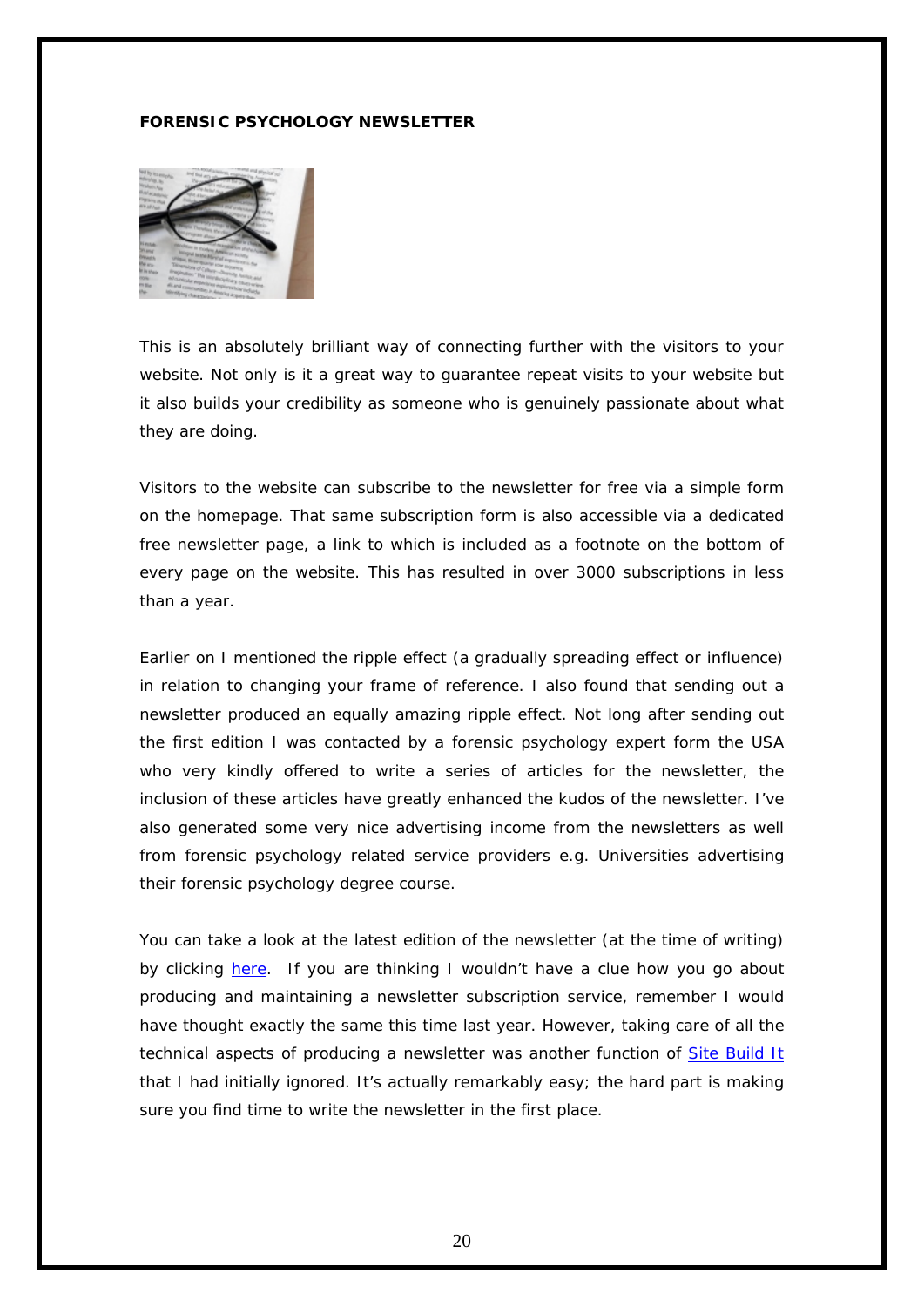#### **FORENSIC PSYCHOLOGY NEWSLETTER**



This is an absolutely brilliant way of connecting further with the visitors to your website. Not only is it a great way to guarantee repeat visits to your website but it also builds your credibility as someone who is genuinely passionate about what they are doing.

Visitors to the website can subscribe to the newsletter for free via a simple form on the homepage. That same subscription form is also accessible via a dedicated free newsletter page, a link to which is included as a footnote on the bottom of every page on the website. This has resulted in over 3000 subscriptions in less than a year.

Earlier on I mentioned the ripple effect (a *gradually spreading effect or influence*) in relation to changing your frame of reference. I also found that sending out a newsletter produced an equally amazing ripple effect. Not long after sending out the first edition I was contacted by a forensic psychology expert form the USA who very kindly offered to write a series of articles for the newsletter, the inclusion of these articles have greatly enhanced the kudos of the newsletter. I've also generated some very nice advertising income from the newsletters as well from forensic psychology related service providers e.g. Universities advertising their forensic psychology degree course.

You can take a look at the latest edition of the newsletter (at the time of writing) by clicking [here.](http://www.all-about-forensic-psychology.com/All_About_Forensic_Psychology-Forensic-Psychology-December2006-Newsletter.html) If you are thinking I wouldn't have a clue how you go about producing and maintaining a newsletter subscription service, remember I would have thought exactly the same this time last year. However, taking care of all the technical aspects of producing a newsletter was another function of [Site Build It](http://buildit.sitesell.com/David7383.html) that I had initially ignored. It's actually remarkably easy; the hard part is making sure you find time to write the newsletter in the first place.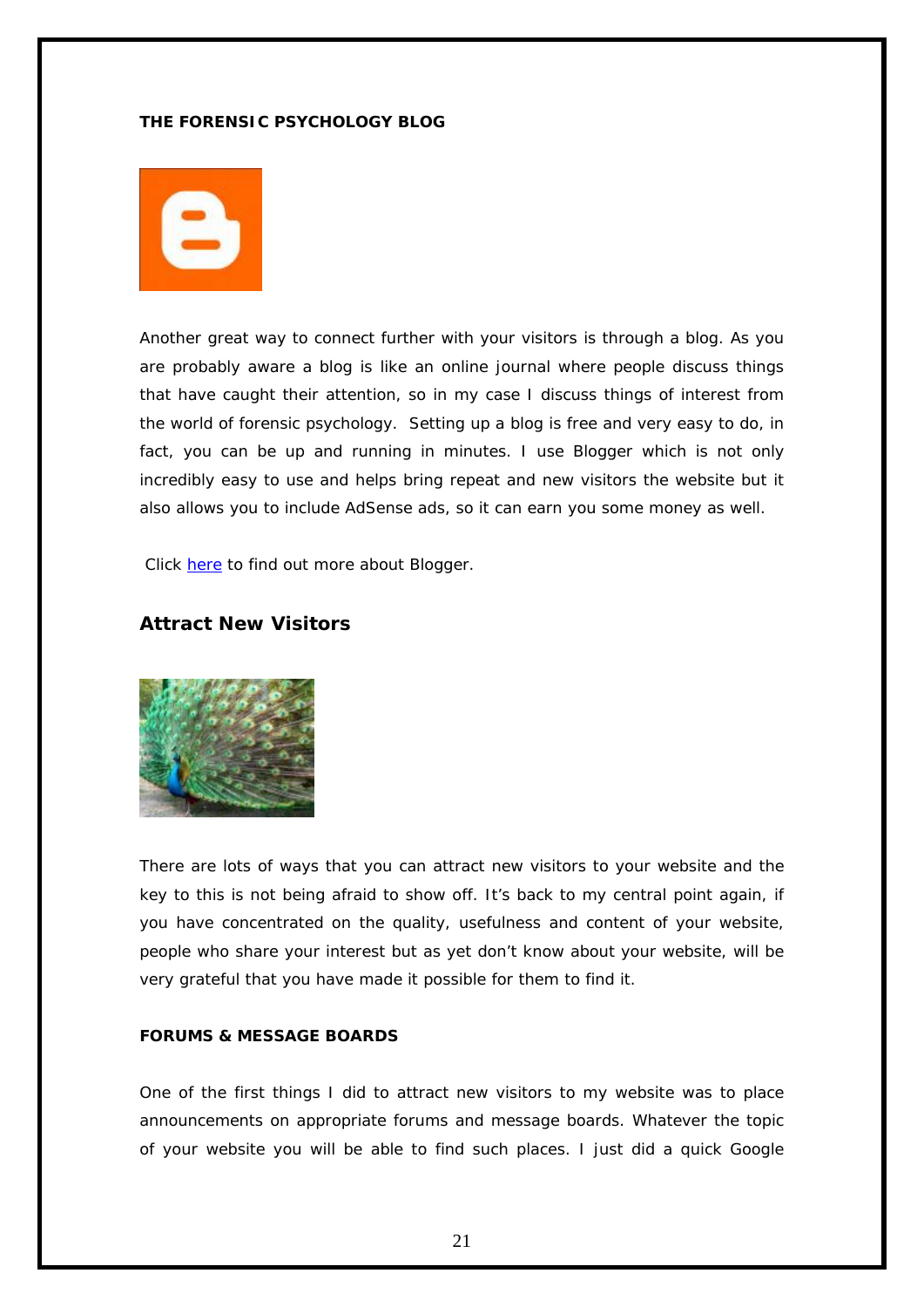#### **THE FORENSIC PSYCHOLOGY BLOG**



Another great way to connect further with your visitors is through a blog. As you are probably aware a blog is like an online journal where people discuss things that have caught their attention, so in my case I discuss things of interest from the world of forensic psychology. Setting up a blog is free and very easy to do, in fact, you can be up and running in minutes. I use Blogger which is not only incredibly easy to use and helps bring repeat and new visitors the website but it also allows you to include AdSense ads, so it can earn you some money as well.

Click [here](http://www.blogger.com/start) to find out more about Blogger.

#### **Attract New Visitors**



There are lots of ways that you can attract new visitors to your website and the key to this is not being afraid to show off. It's back to my central point again, if you have concentrated on the quality, usefulness and content of your website, people who share your interest but as yet don't know about your website, will be very grateful that you have made it possible for them to find it.

#### **FORUMS & MESSAGE BOARDS**

One of the first things I did to attract new visitors to my website was to place announcements on appropriate forums and message boards. Whatever the topic of your website you will be able to find such places. I just did a quick Google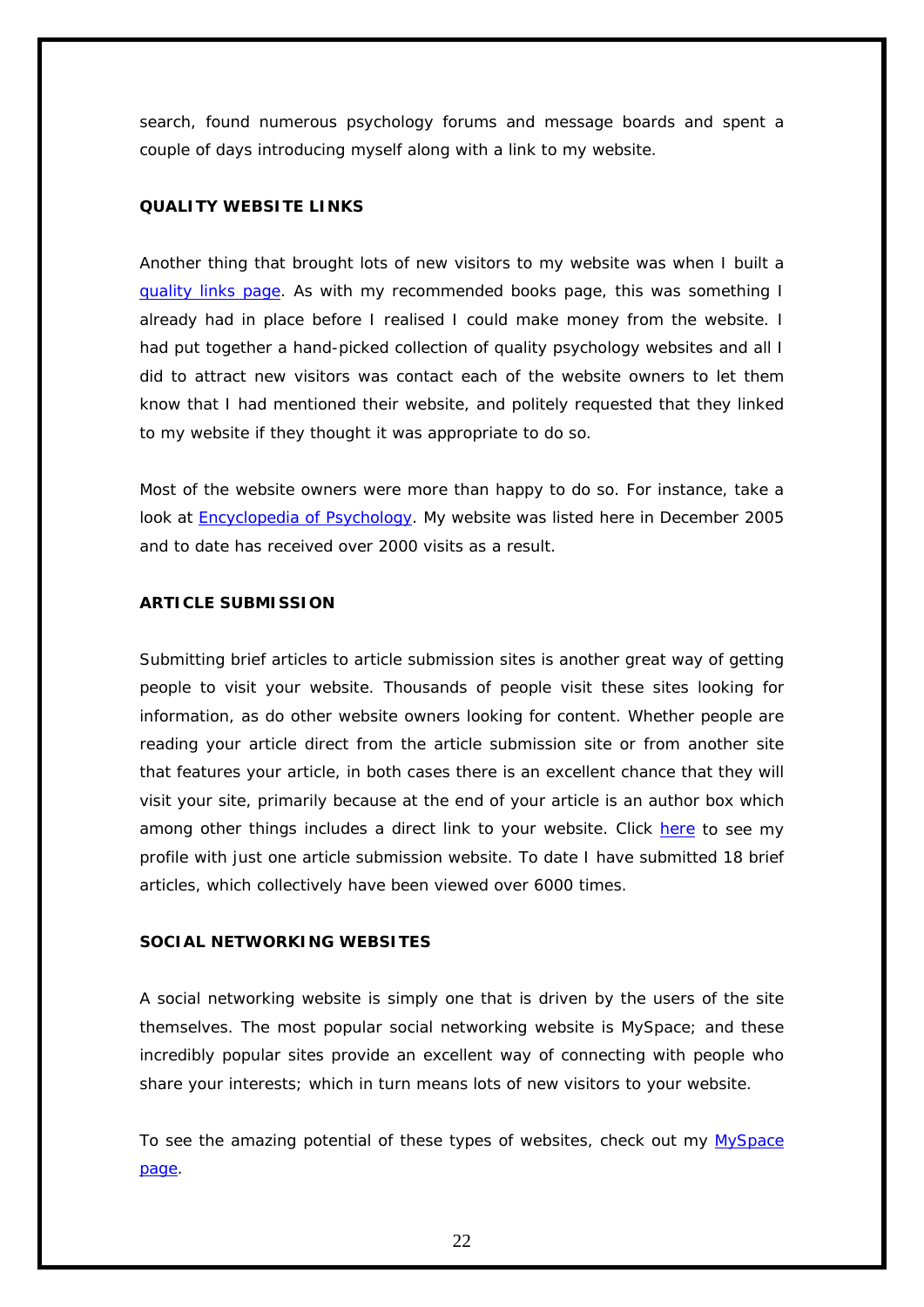search, found numerous psychology forums and message boards and spent a couple of days introducing myself along with a link to my website.

#### **QUALITY WEBSITE LINKS**

Another thing that brought lots of new visitors to my website was when I built a [quality links page.](http://www.all-about-forensic-psychology.com/forensic-psychology-links.html) As with my recommended books page, this was something I already had in place before I realised I could make money from the website. I had put together a hand-picked collection of quality psychology websites and all I did to attract new visitors was contact each of the website owners to let them know that I had mentioned their website, and politely requested that they linked to my website if they thought it was appropriate to do so.

Most of the website owners were more than happy to do so. For instance, take a look at [Encyclopedia of Psychology.](http://www.psychology.org/links/Environment_Behavior_Relationships/Forensic/) My website was listed here in December 2005 and to date has received over 2000 visits as a result.

#### **ARTICLE SUBMISSION**

Submitting brief articles to article submission sites is another great way of getting people to visit your website. Thousands of people visit these sites looking for information, as do other website owners looking for content. Whether people are reading your article direct from the article submission site or from another site that features your article, in both cases there is an excellent chance that they will visit your site, primarily because at the end of your article is an author box which among other things includes a direct link to your website. Click [here](http://ezinearticles.com/?expert_bio=David_A_Webb) to see my profile with just one article submission website. To date I have submitted 18 brief articles, which collectively have been viewed over 6000 times.

#### **SOCIAL NETWORKING WEBSITES**

A social networking website is simply one that is driven by the users of the site themselves. The most popular social networking website is MySpace; and these incredibly popular sites provide an excellent way of connecting with people who share your interests; which in turn means lots of new visitors to your website.

To see the amazing potential of these types of websites, check out my MySpace [page](http://www.myspace.com/forensic_psychology).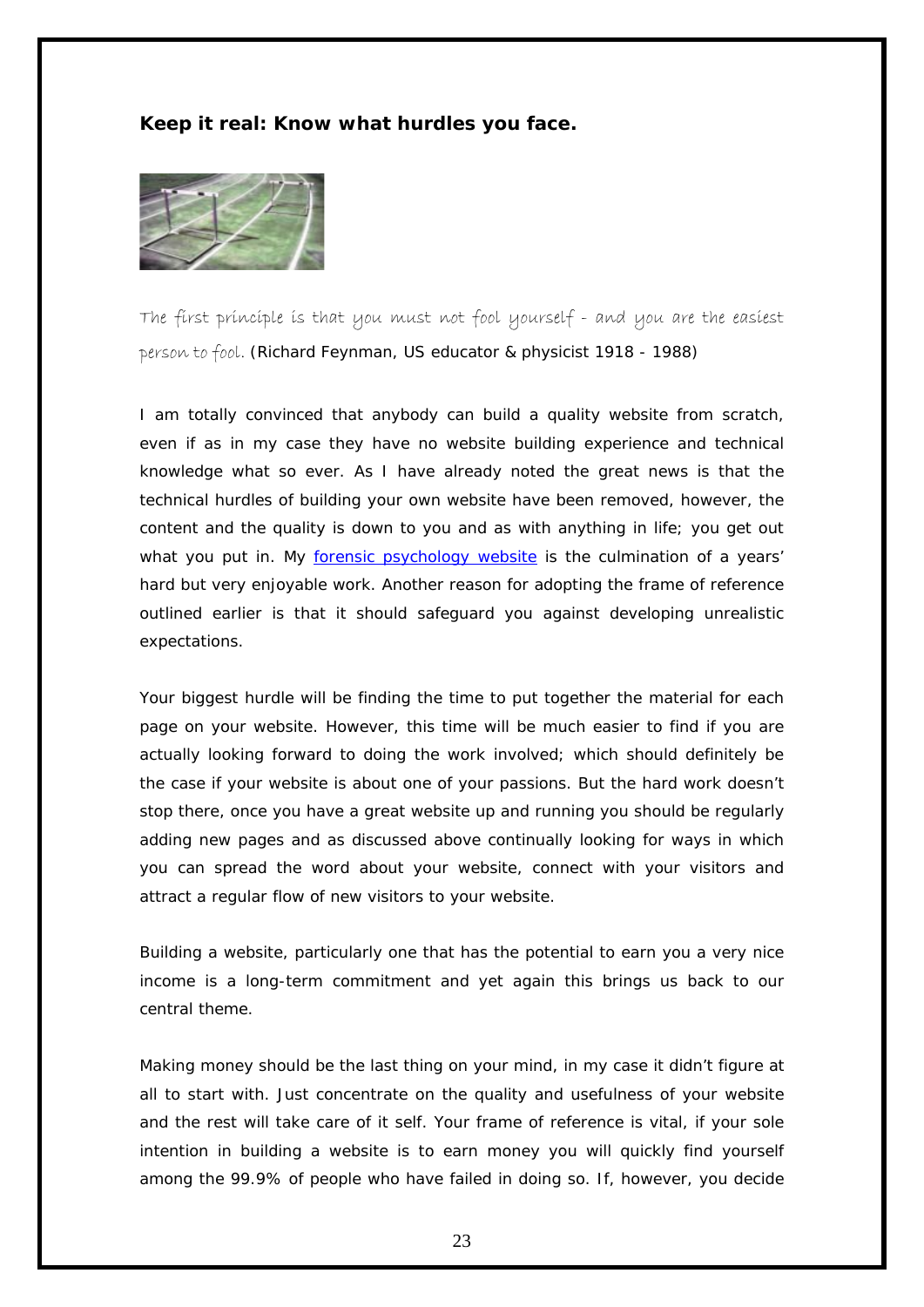#### **Keep it real: Know what hurdles you face.**



The first principle is that you must not fool yourself - and you are the easiest person to fool. (Richard Feynman, US educator & physicist 1918 - 1988)

I am totally convinced that anybody can build a quality website from scratch, even if as in my case they have no website building experience and technical knowledge what so ever. As I have already noted the great news is that the technical hurdles of building your own website have been removed, however, the content and the quality is down to you and as with anything in life; you get out what you put in. My [forensic psychology website](http://www.all-about-forensic-psychology.com/) is the culmination of a years' hard but very enjoyable work. Another reason for adopting the frame of reference outlined earlier is that it should safeguard you against developing unrealistic expectations.

Your biggest hurdle will be finding the time to put together the material for each page on your website. However, this time will be much easier to find if you are actually looking forward to doing the work involved; which should definitely be the case if your website is about one of your passions. But the hard work doesn't stop there, once you have a great website up and running you should be regularly adding new pages and as discussed above continually looking for ways in which you can spread the word about your website, connect with your visitors and attract a regular flow of new visitors to your website.

Building a website, particularly one that has the potential to earn you a very nice income is a long-term commitment and yet again this brings us back to our central theme.

Making money should be the last thing on your mind, in my case it didn't figure at all to start with. Just concentrate on the quality and usefulness of your website and the rest will take care of it self. Your frame of reference is vital, if your sole intention in building a website is to earn money you will quickly find yourself among the 99.9% of people who have failed in doing so. If, however, you decide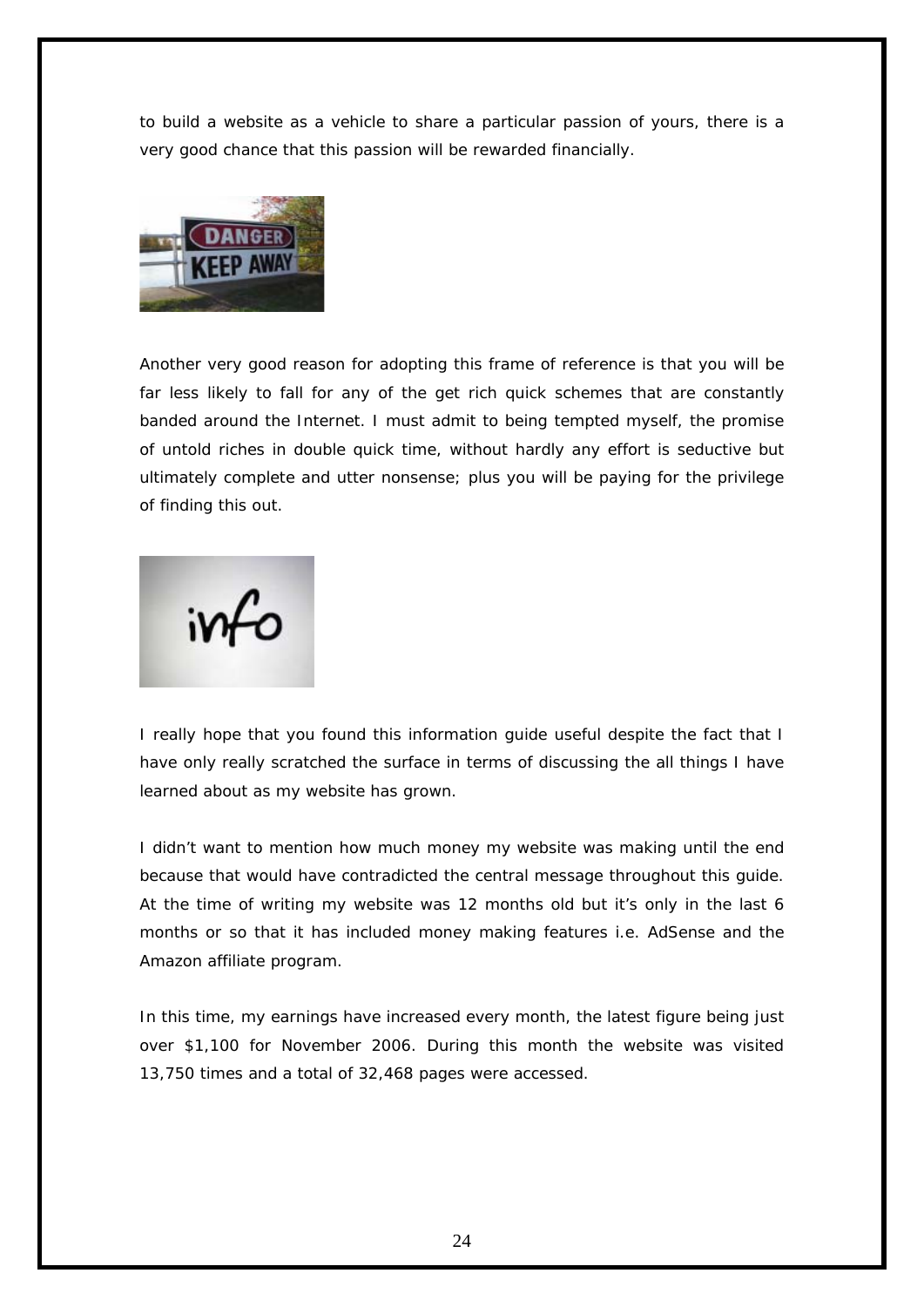to build a website as a vehicle to share a particular passion of yours, there is a very good chance that this passion will be rewarded financially.



Another very good reason for adopting this frame of reference is that you will be far less likely to fall for any of the get rich quick schemes that are constantly banded around the Internet. I must admit to being tempted myself, the promise of untold riches in double quick time, without hardly any effort is seductive but ultimately complete and utter nonsense; plus you will be paying for the privilege of finding this out.



I really hope that you found this information guide useful despite the fact that I have only really scratched the surface in terms of discussing the all things I have learned about as my website has grown.

I didn't want to mention how much money my website was making until the end because that would have contradicted the central message throughout this guide. At the time of writing my website was 12 months old but it's only in the last 6 months or so that it has included money making features i.e. AdSense and the Amazon affiliate program.

In this time, my earnings have increased every month, the latest figure being just over \$1,100 for November 2006. During this month the website was visited 13,750 times and a total of 32,468 pages were accessed.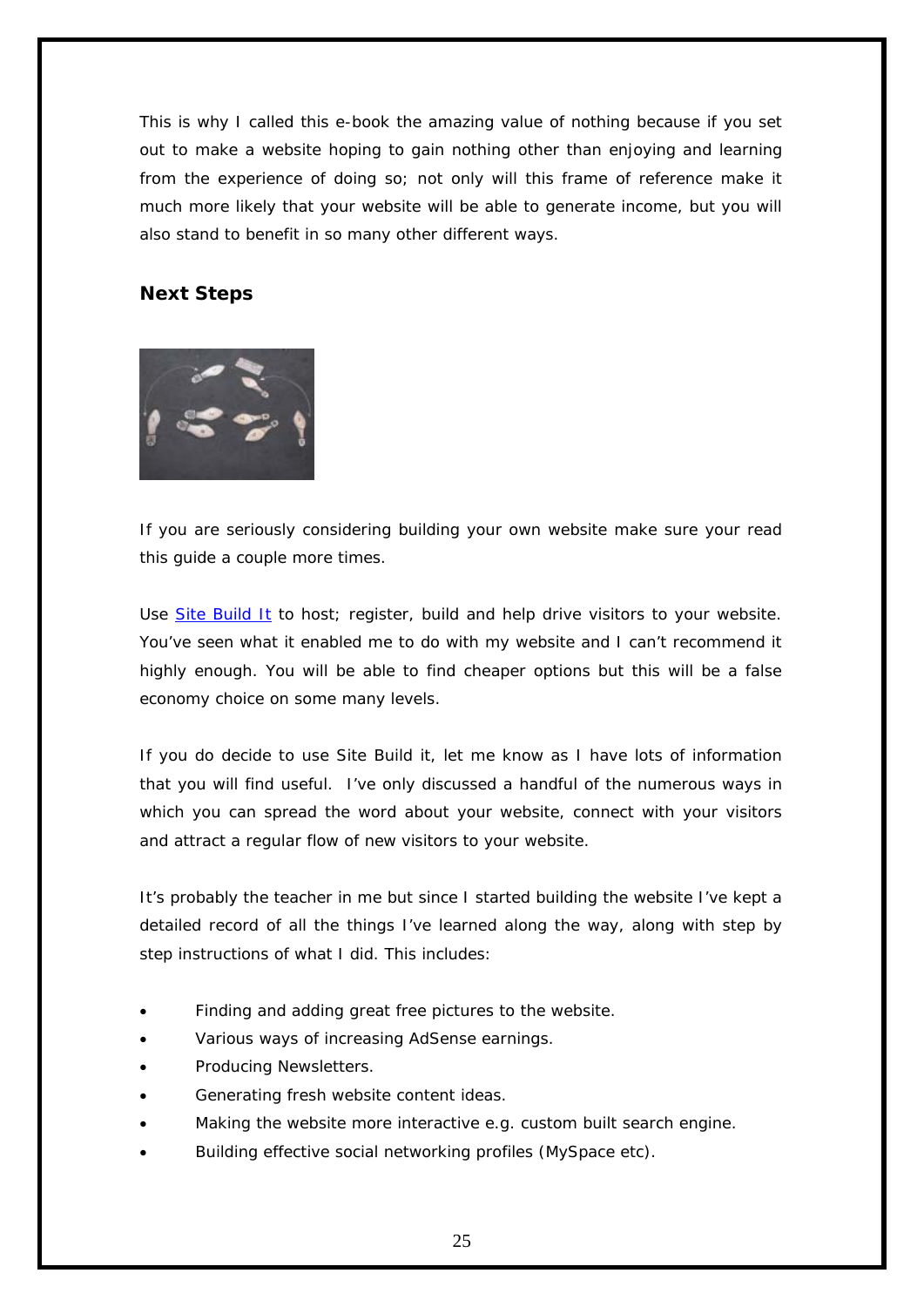*This is why I called this e-book the amazing value of nothing because if you set out to make a website hoping to gain nothing other than enjoying and learning from the experience of doing so; not only will this frame of reference make it* much more likely that your website will be able to generate income, but you will *also stand to benefit in so many other different ways.* 

## **Next Steps**



If you are seriously considering building your own website make sure your read this guide a couple more times.

Use [Site Build It](http://buildit.sitesell.com/David7383.html) to host; register, build and help drive visitors to your website. You've seen what it enabled me to do with my website and I can't recommend it highly enough. You will be able to find cheaper options but this will be a false economy choice on some many levels.

If you do decide to use Site Build it, let me know as I have lots of information that you will find useful. I've only discussed a handful of the numerous ways in which you can spread the word about your website, connect with your visitors and attract a regular flow of new visitors to your website.

It's probably the teacher in me but since I started building the website I've kept a detailed record of all the things I've learned along the way, along with step by step instructions of what I did. This includes:

- Finding and adding great free pictures to the website.
- Various ways of increasing AdSense earnings.
- Producing Newsletters.
- Generating fresh website content ideas.
- Making the website more interactive e.g. custom built search engine.
- Building effective social networking profiles (MySpace etc).